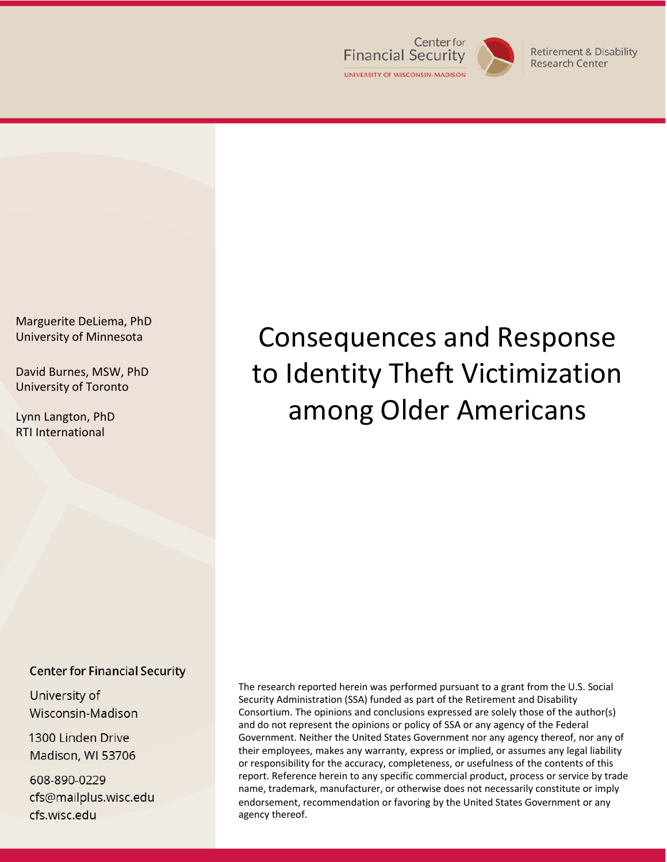

Research Center

Marguerite DeLiema, PhD University of Minnesota

David Burnes, MSW, PhD University of Toronto

Lynn Langton, PhD RTI International

# Consequences and Response to Identity Theft Victimization among Older Americans

#### **Center for Financial Security**

University of Wisconsin-Madison

1300 Linden Drive Madison, WI 53706

608-890-0229 cfs@mailplus.wisc.edu cfs.wisc.edu

The research reported herein was performed pursuant to a grant from the U.S. Social Security Administration (SSA) funded as part of the Retirement and Disability Consortium. The opinions and conclusions expressed are solely those of the author(s) and do not represent the opinions or policy of SSA or any agency of the Federal Government. Neither the United States Government nor any agency thereof, nor any of their employees, makes any warranty, express or implied, or assumes any legal liability or responsibility for the accuracy, completeness, or usefulness of the contents of this report. Reference herein to any specific commercial product, process or service by trade name, trademark, manufacturer, or otherwise does not necessarily constitute or imply endorsement, recommendation or favoring by the United States Government or any agency thereof.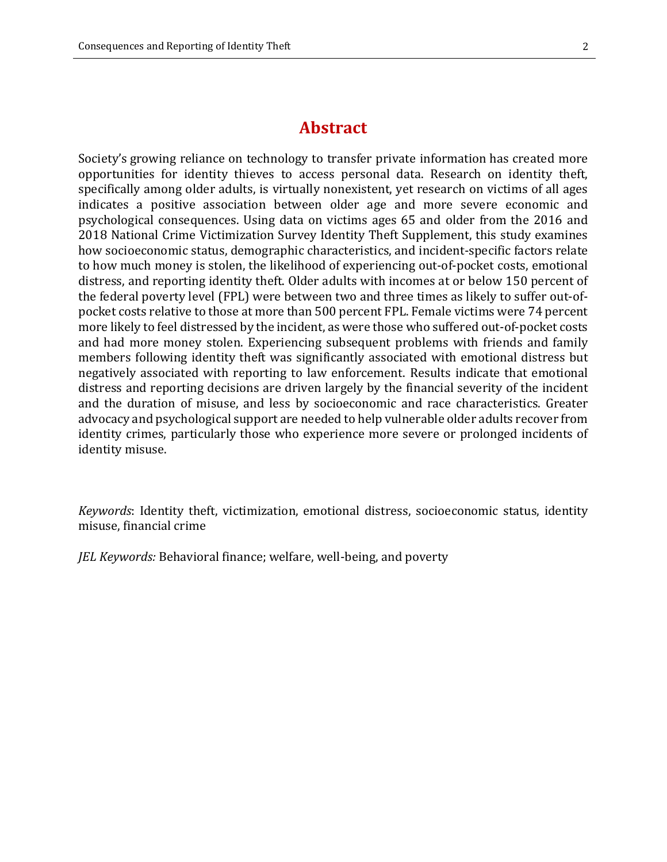## **Abstract**

Society's growing reliance on technology to transfer private information has created more opportunities for identity thieves to access personal data. Research on identity theft, specifically among older adults, is virtually nonexistent, yet research on victims of all ages indicates a positive association between older age and more severe economic and psychological consequences. Using data on victims ages 65 and older from the 2016 and 2018 National Crime Victimization Survey Identity Theft Supplement, this study examines how socioeconomic status, demographic characteristics, and incident-specific factors relate to how much money is stolen, the likelihood of experiencing out-of-pocket costs, emotional distress, and reporting identity theft. Older adults with incomes at or below 150 percent of the federal poverty level (FPL) were between two and three times as likely to suffer out-ofpocket costs relative to those at more than 500 percent FPL. Female victims were 74 percent more likely to feel distressed by the incident, as were those who suffered out-of-pocket costs and had more money stolen. Experiencing subsequent problems with friends and family members following identity theft was significantly associated with emotional distress but negatively associated with reporting to law enforcement. Results indicate that emotional distress and reporting decisions are driven largely by the financial severity of the incident and the duration of misuse, and less by socioeconomic and race characteristics. Greater advocacy and psychological support are needed to help vulnerable older adults recover from identity crimes, particularly those who experience more severe or prolonged incidents of identity misuse.

*Keywords*: Identity theft, victimization, emotional distress, socioeconomic status, identity misuse, financial crime

*JEL Keywords:* Behavioral finance; welfare, well-being, and poverty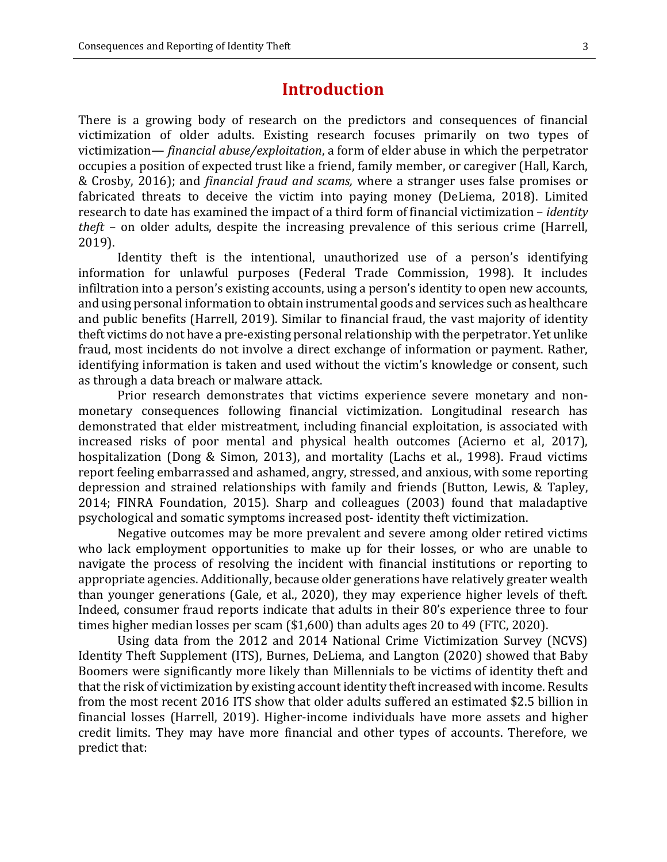## **Introduction**

There is a growing body of research on the predictors and consequences of financial victimization of older adults. Existing research focuses primarily on two types of victimization— *financial abuse/exploitation*, a form of elder abuse in which the perpetrator occupies a position of expected trust like a friend, family member, or caregiver (Hall, Karch, & Crosby, 2016); and *financial fraud and scams,* where a stranger uses false promises or fabricated threats to deceive the victim into paying money (DeLiema, 2018). Limited research to date has examined the impact of a third form of financial victimization – *identity theft* – on older adults, despite the increasing prevalence of this serious crime (Harrell, 2019).

Identity theft is the intentional, unauthorized use of a person's identifying information for unlawful purposes (Federal Trade Commission, 1998). It includes infiltration into a person's existing accounts, using a person's identity to open new accounts, and using personal information to obtain instrumental goods and services such as healthcare and public benefits (Harrell, 2019). Similar to financial fraud, the vast majority of identity theft victims do not have a pre-existing personal relationship with the perpetrator. Yet unlike fraud, most incidents do not involve a direct exchange of information or payment. Rather, identifying information is taken and used without the victim's knowledge or consent, such as through a data breach or malware attack.

Prior research demonstrates that victims experience severe monetary and nonmonetary consequences following financial victimization. Longitudinal research has demonstrated that elder mistreatment, including financial exploitation, is associated with increased risks of poor mental and physical health outcomes (Acierno et al, 2017), hospitalization (Dong & Simon, 2013), and mortality (Lachs et al., 1998). Fraud victims report feeling embarrassed and ashamed, angry, stressed, and anxious, with some reporting depression and strained relationships with family and friends (Button, Lewis, & Tapley, 2014; FINRA Foundation, 2015). Sharp and colleagues (2003) found that maladaptive psychological and somatic symptoms increased post- identity theft victimization.

Negative outcomes may be more prevalent and severe among older retired victims who lack employment opportunities to make up for their losses, or who are unable to navigate the process of resolving the incident with financial institutions or reporting to appropriate agencies. Additionally, because older generations have relatively greater wealth than younger generations (Gale, et al., 2020), they may experience higher levels of theft. Indeed, consumer fraud reports indicate that adults in their 80's experience three to four times higher median losses per scam (\$1,600) than adults ages 20 to 49 (FTC, 2020).

Using data from the 2012 and 2014 National Crime Victimization Survey (NCVS) Identity Theft Supplement (ITS), Burnes, DeLiema, and Langton (2020) showed that Baby Boomers were significantly more likely than Millennials to be victims of identity theft and that the risk of victimization by existing account identity theft increased with income. Results from the most recent 2016 ITS show that older adults suffered an estimated \$2.5 billion in financial losses (Harrell, 2019). Higher-income individuals have more assets and higher credit limits. They may have more financial and other types of accounts. Therefore, we predict that: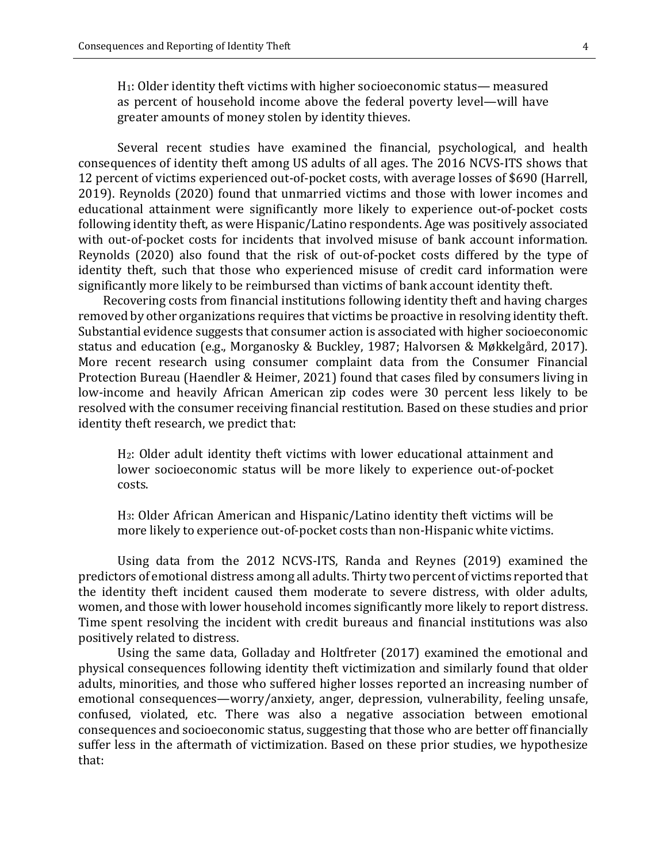H1: Older identity theft victims with higher socioeconomic status— measured as percent of household income above the federal poverty level—will have greater amounts of money stolen by identity thieves.

Several recent studies have examined the financial, psychological, and health consequences of identity theft among US adults of all ages. The 2016 NCVS-ITS shows that 12 percent of victims experienced out-of-pocket costs, with average losses of \$690 (Harrell, 2019). Reynolds (2020) found that unmarried victims and those with lower incomes and educational attainment were significantly more likely to experience out-of-pocket costs following identity theft, as were Hispanic/Latino respondents. Age was positively associated with out-of-pocket costs for incidents that involved misuse of bank account information. Reynolds (2020) also found that the risk of out-of-pocket costs differed by the type of identity theft, such that those who experienced misuse of credit card information were significantly more likely to be reimbursed than victims of bank account identity theft.

Recovering costs from financial institutions following identity theft and having charges removed by other organizations requires that victims be proactive in resolving identity theft. Substantial evidence suggests that consumer action is associated with higher socioeconomic status and education (e.g., Morganosky & Buckley, 1987; Halvorsen & Møkkelgård, 2017). More recent research using consumer complaint data from the Consumer Financial Protection Bureau (Haendler & Heimer, 2021) found that cases filed by consumers living in low-income and heavily African American zip codes were 30 percent less likely to be resolved with the consumer receiving financial restitution. Based on these studies and prior identity theft research, we predict that:

H2: Older adult identity theft victims with lower educational attainment and lower socioeconomic status will be more likely to experience out-of-pocket costs.

H3: Older African American and Hispanic/Latino identity theft victims will be more likely to experience out-of-pocket costs than non-Hispanic white victims.

Using data from the 2012 NCVS-ITS, Randa and Reynes (2019) examined the predictors of emotional distress among all adults. Thirty two percent of victims reported that the identity theft incident caused them moderate to severe distress, with older adults, women, and those with lower household incomes significantly more likely to report distress. Time spent resolving the incident with credit bureaus and financial institutions was also positively related to distress.

Using the same data, Golladay and Holtfreter (2017) examined the emotional and physical consequences following identity theft victimization and similarly found that older adults, minorities, and those who suffered higher losses reported an increasing number of emotional consequences—worry/anxiety, anger, depression, vulnerability, feeling unsafe, confused, violated, etc. There was also a negative association between emotional consequences and socioeconomic status, suggesting that those who are better off financially suffer less in the aftermath of victimization. Based on these prior studies, we hypothesize that: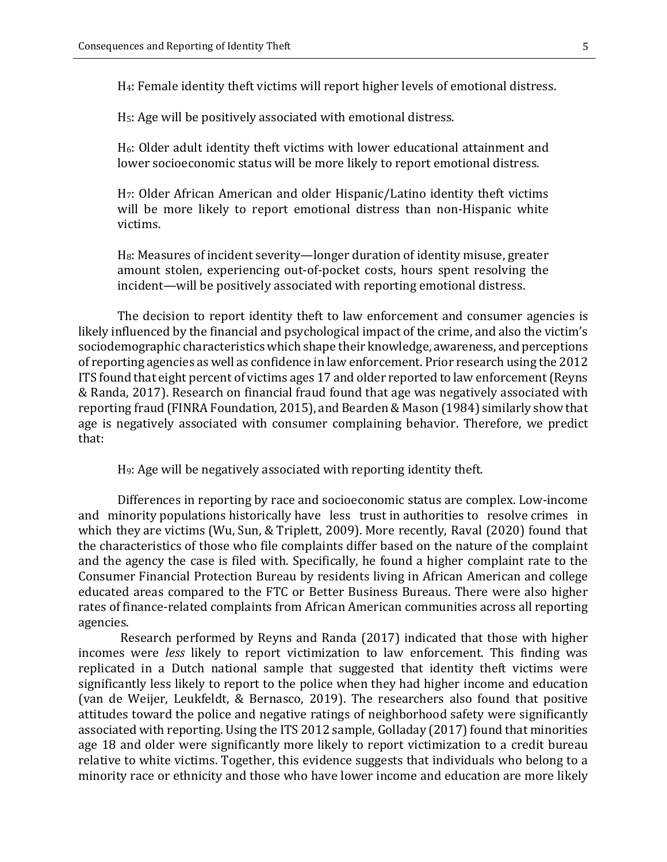H4: Female identity theft victims will report higher levels of emotional distress.

H5: Age will be positively associated with emotional distress.

H6: Older adult identity theft victims with lower educational attainment and lower socioeconomic status will be more likely to report emotional distress.

H7: Older African American and older Hispanic/Latino identity theft victims will be more likely to report emotional distress than non-Hispanic white victims.

H8: Measures of incident severity—longer duration of identity misuse, greater amount stolen, experiencing out-of-pocket costs, hours spent resolving the incident—will be positively associated with reporting emotional distress.

The decision to report identity theft to law enforcement and consumer agencies is likely influenced by the financial and psychological impact of the crime, and also the victim's sociodemographic characteristics which shape their knowledge, awareness, and perceptions of reporting agencies as well as confidence in law enforcement. Prior research using the 2012 ITS found that eight percent of victims ages 17 and older reported to law enforcement (Reyns & Randa, 2017). Research on financial fraud found that age was negatively associated with reporting fraud (FINRA Foundation, 2015), and Bearden & Mason (1984) similarly show that age is negatively associated with consumer complaining behavior. Therefore, we predict that:

H9: Age will be negatively associated with reporting identity theft.

Differences in reporting by race and socioeconomic status are complex. Low-income and minority populations historically have less trust in authorities to resolve crimes in which they are victims (Wu, Sun, & Triplett, 2009). More recently, Raval (2020) found that the characteristics of those who file complaints differ based on the nature of the complaint and the agency the case is filed with. Specifically, he found a higher complaint rate to the Consumer Financial Protection Bureau by residents living in African American and college educated areas compared to the FTC or Better Business Bureaus. There were also higher rates of finance-related complaints from African American communities across all reporting agencies.

 Research performed by Reyns and Randa (2017) indicated that those with higher incomes were *less* likely to report victimization to law enforcement. This finding was replicated in a Dutch national sample that suggested that identity theft victims were significantly less likely to report to the police when they had higher income and education (van de Weijer, Leukfeldt, & Bernasco, 2019). The researchers also found that positive attitudes toward the police and negative ratings of neighborhood safety were significantly associated with reporting. Using the ITS 2012 sample, Golladay (2017) found that minorities age 18 and older were significantly more likely to report victimization to a credit bureau relative to white victims. Together, this evidence suggests that individuals who belong to a minority race or ethnicity and those who have lower income and education are more likely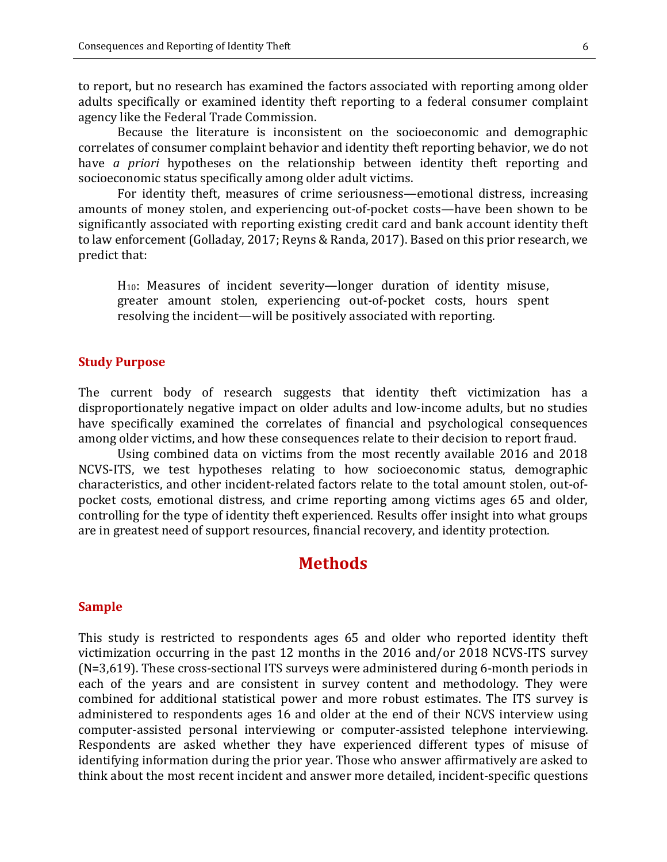to report, but no research has examined the factors associated with reporting among older adults specifically or examined identity theft reporting to a federal consumer complaint agency like the Federal Trade Commission.

Because the literature is inconsistent on the socioeconomic and demographic correlates of consumer complaint behavior and identity theft reporting behavior, we do not have *a priori* hypotheses on the relationship between identity theft reporting and socioeconomic status specifically among older adult victims.

For identity theft, measures of crime seriousness—emotional distress, increasing amounts of money stolen, and experiencing out-of-pocket costs—have been shown to be significantly associated with reporting existing credit card and bank account identity theft to law enforcement (Golladay, 2017; Reyns & Randa, 2017). Based on this prior research, we predict that:

H10: Measures of incident severity—longer duration of identity misuse, greater amount stolen, experiencing out-of-pocket costs, hours spent resolving the incident—will be positively associated with reporting.

#### **Study Purpose**

The current body of research suggests that identity theft victimization has a disproportionately negative impact on older adults and low-income adults, but no studies have specifically examined the correlates of financial and psychological consequences among older victims, and how these consequences relate to their decision to report fraud.

Using combined data on victims from the most recently available 2016 and 2018 NCVS-ITS, we test hypotheses relating to how socioeconomic status, demographic characteristics, and other incident-related factors relate to the total amount stolen, out-ofpocket costs, emotional distress, and crime reporting among victims ages 65 and older, controlling for the type of identity theft experienced. Results offer insight into what groups are in greatest need of support resources, financial recovery, and identity protection.

### **Methods**

#### **Sample**

This study is restricted to respondents ages 65 and older who reported identity theft victimization occurring in the past 12 months in the 2016 and/or 2018 NCVS-ITS survey (N=3,619). These cross-sectional ITS surveys were administered during 6-month periods in each of the years and are consistent in survey content and methodology. They were combined for additional statistical power and more robust estimates. The ITS survey is administered to respondents ages 16 and older at the end of their NCVS interview using computer-assisted personal interviewing or computer-assisted telephone interviewing. Respondents are asked whether they have experienced different types of misuse of identifying information during the prior year. Those who answer affirmatively are asked to think about the most recent incident and answer more detailed, incident-specific questions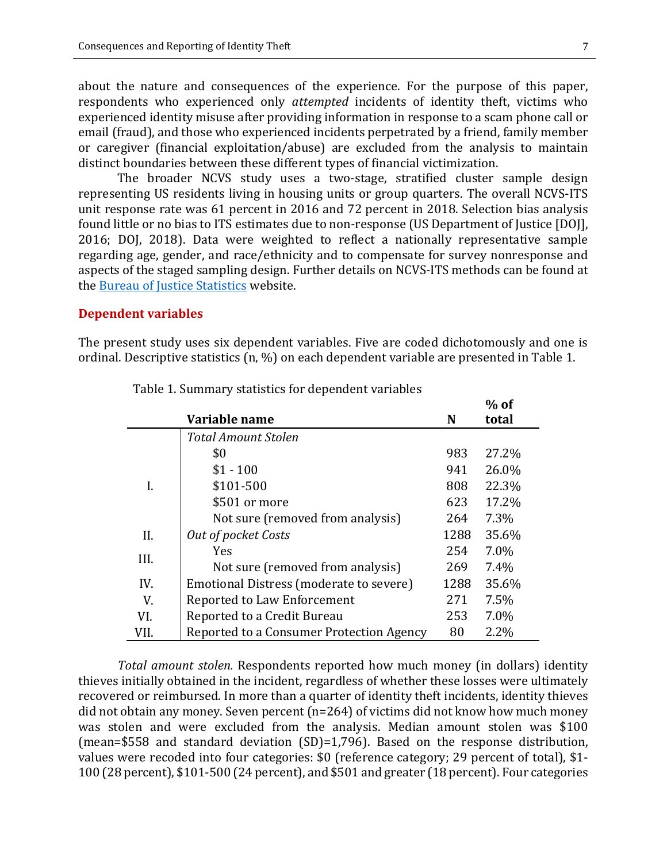about the nature and consequences of the experience. For the purpose of this paper, respondents who experienced only *attempted* incidents of identity theft, victims who experienced identity misuse after providing information in response to a scam phone call or email (fraud), and those who experienced incidents perpetrated by a friend, family member or caregiver (financial exploitation/abuse) are excluded from the analysis to maintain distinct boundaries between these different types of financial victimization.

The broader NCVS study uses a two-stage, stratified cluster sample design representing US residents living in housing units or group quarters. The overall NCVS-ITS unit response rate was 61 percent in 2016 and 72 percent in 2018. Selection bias analysis found little or no bias to ITS estimates due to non-response (US Department of Justice [DOJ], 2016; DOJ, 2018). Data were weighted to reflect a nationally representative sample regarding age, gender, and race/ethnicity and to compensate for survey nonresponse and aspects of the staged sampling design. Further details on NCVS-ITS methods can be found at the [Bureau of Justice Statistics](https://bjs.ojp.gov/data-collection/identity-theft-supplement-its) website.

#### **Dependent variables**

The present study uses six dependent variables. Five are coded dichotomously and one is ordinal. Descriptive statistics (n, %) on each dependent variable are presented in Table 1.

|      |                                          |      | $%$ of |
|------|------------------------------------------|------|--------|
|      | Variable name                            | N    | total  |
|      | <b>Total Amount Stolen</b>               |      |        |
|      | \$0                                      | 983  | 27.2%  |
|      | $$1 - 100$                               | 941  | 26.0%  |
| I.   | \$101-500                                | 808  | 22.3%  |
|      | \$501 or more                            | 623  | 17.2%  |
|      | Not sure (removed from analysis)         | 264  | 7.3%   |
| II.  | Out of pocket Costs                      | 1288 | 35.6%  |
| III. | <b>Yes</b>                               | 254  | 7.0%   |
|      | Not sure (removed from analysis)         | 269  | 7.4%   |
| IV.  | Emotional Distress (moderate to severe)  | 1288 | 35.6%  |
| V.   | Reported to Law Enforcement              | 271  | 7.5%   |
| VI.  | Reported to a Credit Bureau              | 253  | 7.0%   |
| VII. | Reported to a Consumer Protection Agency | 80   | 2.2%   |

Table 1. Summary statistics for dependent variables

*Total amount stolen.* Respondents reported how much money (in dollars) identity thieves initially obtained in the incident, regardless of whether these losses were ultimately recovered or reimbursed. In more than a quarter of identity theft incidents, identity thieves did not obtain any money. Seven percent (n=264) of victims did not know how much money was stolen and were excluded from the analysis. Median amount stolen was \$100 (mean=\$558 and standard deviation (SD)=1,796). Based on the response distribution, values were recoded into four categories: \$0 (reference category; 29 percent of total), \$1- 100 (28 percent), \$101-500 (24 percent), and \$501 and greater (18 percent). Four categories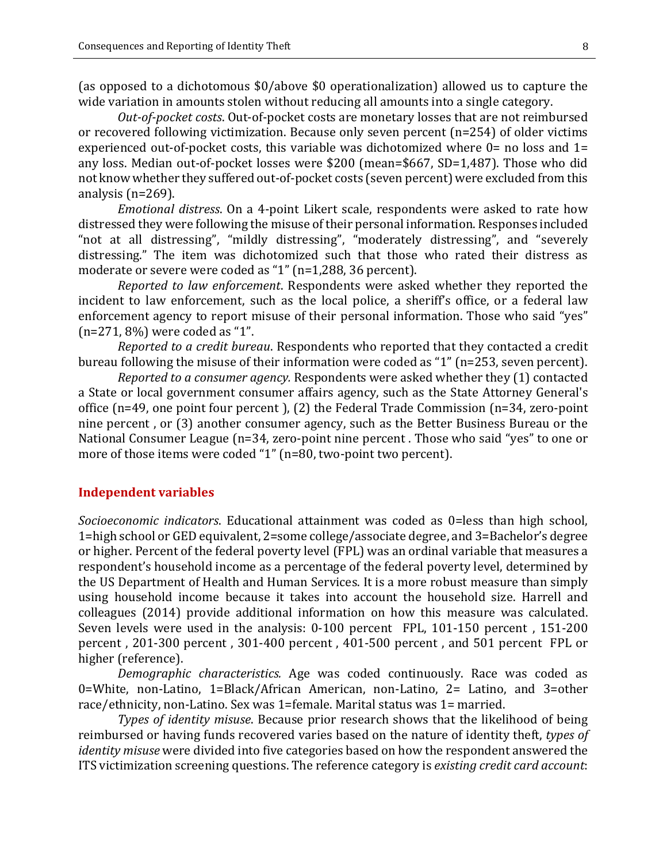(as opposed to a dichotomous \$0/above \$0 operationalization) allowed us to capture the wide variation in amounts stolen without reducing all amounts into a single category.

*Out-of-pocket costs*. Out-of-pocket costs are monetary losses that are not reimbursed or recovered following victimization. Because only seven percent (n=254) of older victims experienced out-of-pocket costs, this variable was dichotomized where  $0=$  no loss and  $1=$ any loss. Median out-of-pocket losses were \$200 (mean=\$667, SD=1,487). Those who did not know whether they suffered out-of-pocket costs (seven percent) were excluded from this analysis (n=269).

*Emotional distress*. On a 4-point Likert scale, respondents were asked to rate how distressed they were following the misuse of their personal information. Responses included "not at all distressing", "mildly distressing", "moderately distressing", and "severely distressing." The item was dichotomized such that those who rated their distress as moderate or severe were coded as "1" (n=1,288, 36 percent).

*Reported to law enforcement*. Respondents were asked whether they reported the incident to law enforcement, such as the local police, a sheriff's office, or a federal law enforcement agency to report misuse of their personal information. Those who said "yes" (n=271, 8%) were coded as "1".

*Reported to a credit bureau*. Respondents who reported that they contacted a credit bureau following the misuse of their information were coded as "1" (n=253, seven percent).

*Reported to a consumer agency.* Respondents were asked whether they (1) contacted a State or local government consumer affairs agency, such as the State Attorney General's office (n=49, one point four percent ), (2) the Federal Trade Commission (n=34, zero-point nine percent , or (3) another consumer agency, such as the Better Business Bureau or the National Consumer League (n=34, zero-point nine percent . Those who said "yes" to one or more of those items were coded "1" (n=80, two-point two percent).

#### **Independent variables**

*Socioeconomic indicators*. Educational attainment was coded as 0=less than high school, 1=high school or GED equivalent, 2=some college/associate degree, and 3=Bachelor's degree or higher. Percent of the federal poverty level (FPL) was an ordinal variable that measures a respondent's household income as a percentage of the federal poverty level, determined by the US Department of Health and Human Services. It is a more robust measure than simply using household income because it takes into account the household size. Harrell and colleagues (2014) provide additional information on how this measure was calculated. Seven levels were used in the analysis: 0-100 percent FPL, 101-150 percent , 151-200 percent , 201-300 percent , 301-400 percent , 401-500 percent , and 501 percent FPL or higher (reference).

*Demographic characteristics.* Age was coded continuously. Race was coded as 0=White, non-Latino, 1=Black/African American, non-Latino, 2= Latino, and 3=other race/ethnicity, non-Latino. Sex was 1=female. Marital status was 1= married.

*Types of identity misuse*. Because prior research shows that the likelihood of being reimbursed or having funds recovered varies based on the nature of identity theft, *types of identity misuse* were divided into five categories based on how the respondent answered the ITS victimization screening questions. The reference category is *existing credit card account*: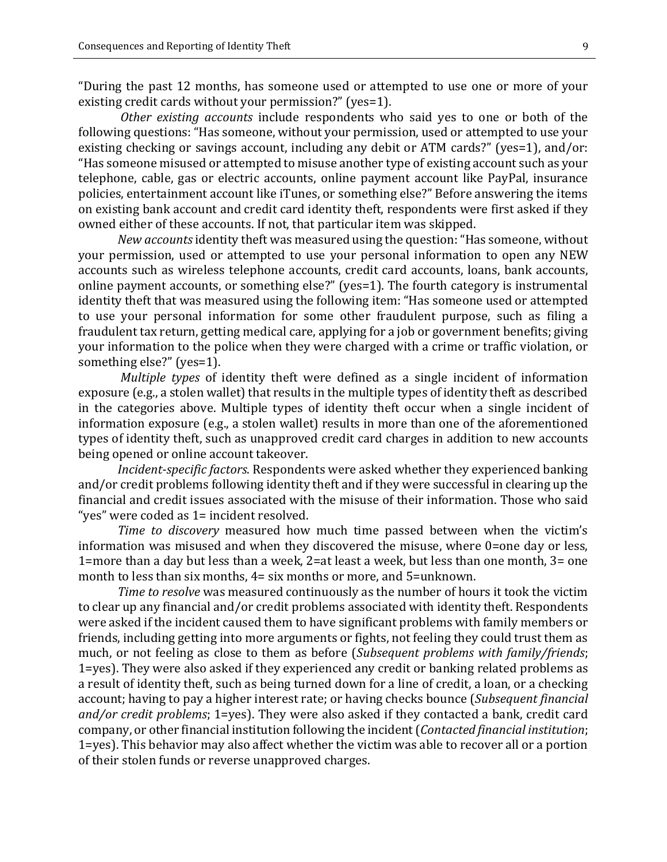"During the past 12 months, has someone used or attempted to use one or more of your existing credit cards without your permission?" (yes=1).

*Other existing accounts* include respondents who said yes to one or both of the following questions: "Has someone, without your permission, used or attempted to use your existing checking or savings account, including any debit or ATM cards?" (yes=1), and/or: "Has someone misused or attempted to misuse another type of existing account such as your telephone, cable, gas or electric accounts, online payment account like PayPal, insurance policies, entertainment account like iTunes, or something else?" Before answering the items on existing bank account and credit card identity theft, respondents were first asked if they owned either of these accounts. If not, that particular item was skipped.

*New accounts*identity theft was measured using the question: "Has someone, without your permission, used or attempted to use your personal information to open any NEW accounts such as wireless telephone accounts, credit card accounts, loans, bank accounts, online payment accounts, or something else?" (yes=1). The fourth category is instrumental identity theft that was measured using the following item: "Has someone used or attempted to use your personal information for some other fraudulent purpose, such as filing a fraudulent tax return, getting medical care, applying for a job or government benefits; giving your information to the police when they were charged with a crime or traffic violation, or something else?" (yes=1).

*Multiple types* of identity theft were defined as a single incident of information exposure (e.g., a stolen wallet) that results in the multiple types of identity theft as described in the categories above. Multiple types of identity theft occur when a single incident of information exposure (e.g., a stolen wallet) results in more than one of the aforementioned types of identity theft, such as unapproved credit card charges in addition to new accounts being opened or online account takeover.

*Incident-specific factors*. Respondents were asked whether they experienced banking and/or credit problems following identity theft and if they were successful in clearing up the financial and credit issues associated with the misuse of their information. Those who said "yes" were coded as 1= incident resolved.

*Time to discovery* measured how much time passed between when the victim's information was misused and when they discovered the misuse, where 0=one day or less, 1=more than a day but less than a week, 2=at least a week, but less than one month, 3= one month to less than six months, 4= six months or more, and 5=unknown.

*Time to resolve* was measured continuously as the number of hours it took the victim to clear up any financial and/or credit problems associated with identity theft. Respondents were asked if the incident caused them to have significant problems with family members or friends, including getting into more arguments or fights, not feeling they could trust them as much, or not feeling as close to them as before (*Subsequent problems with family/friends*; 1=yes). They were also asked if they experienced any credit or banking related problems as a result of identity theft, such as being turned down for a line of credit, a loan, or a checking account; having to pay a higher interest rate; or having checks bounce (*Subsequent financial and/or credit problems*; 1=yes). They were also asked if they contacted a bank, credit card company, or other financial institution following the incident (*Contacted financial institution*; 1=yes). This behavior may also affect whether the victim was able to recover all or a portion of their stolen funds or reverse unapproved charges.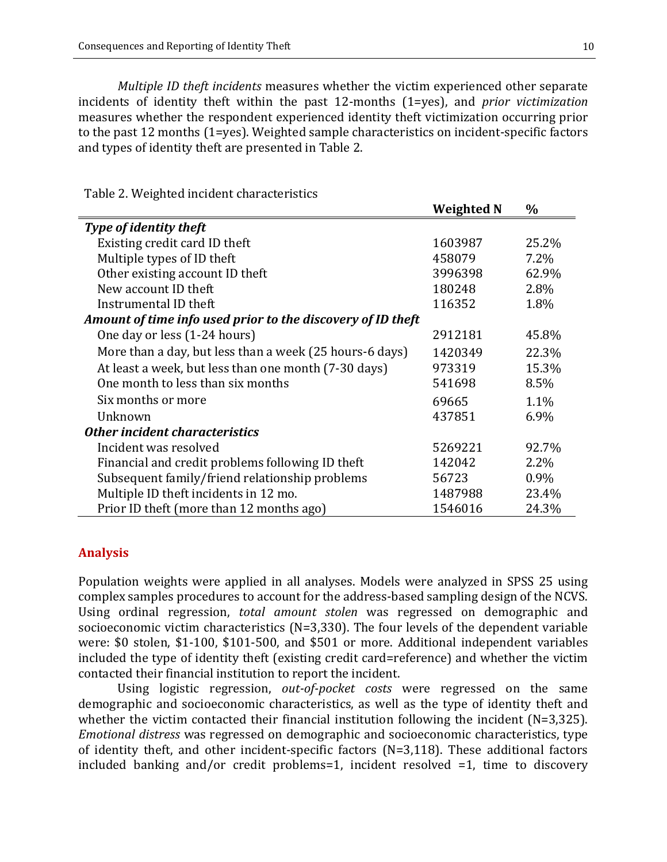*Multiple ID theft incidents* measures whether the victim experienced other separate incidents of identity theft within the past 12-months (1=yes), and *prior victimization* measures whether the respondent experienced identity theft victimization occurring prior to the past 12 months (1=yes). Weighted sample characteristics on incident-specific factors and types of identity theft are presented in Table 2.

Table 2. Weighted incident characteristics

|                                                             | <b>Weighted N</b> | $\%$    |
|-------------------------------------------------------------|-------------------|---------|
| Type of identity theft                                      |                   |         |
| Existing credit card ID theft                               | 1603987           | 25.2%   |
| Multiple types of ID theft                                  | 458079            | $7.2\%$ |
| Other existing account ID theft                             | 3996398           | 62.9%   |
| New account ID theft                                        | 180248            | 2.8%    |
| Instrumental ID theft                                       | 116352            | 1.8%    |
| Amount of time info used prior to the discovery of ID theft |                   |         |
| One day or less (1-24 hours)                                | 2912181           | 45.8%   |
| More than a day, but less than a week (25 hours-6 days)     | 1420349           | 22.3%   |
| At least a week, but less than one month (7-30 days)        | 973319            | 15.3%   |
| One month to less than six months                           | 541698            | 8.5%    |
| Six months or more                                          | 69665             | 1.1%    |
| Unknown                                                     | 437851            | 6.9%    |
| Other incident characteristics                              |                   |         |
| Incident was resolved                                       | 5269221           | 92.7%   |
| Financial and credit problems following ID theft            | 142042            | 2.2%    |
| Subsequent family/friend relationship problems              | 56723             | 0.9%    |
| Multiple ID theft incidents in 12 mo.                       | 1487988           | 23.4%   |
| Prior ID theft (more than 12 months ago)                    | 1546016           | 24.3%   |

#### **Analysis**

Population weights were applied in all analyses. Models were analyzed in SPSS 25 using complex samples procedures to account for the address-based sampling design of the NCVS. Using ordinal regression, *total amount stolen* was regressed on demographic and socioeconomic victim characteristics (N=3,330). The four levels of the dependent variable were: \$0 stolen, \$1-100, \$101-500, and \$501 or more. Additional independent variables included the type of identity theft (existing credit card=reference) and whether the victim contacted their financial institution to report the incident.

Using logistic regression, *out-of-pocket costs* were regressed on the same demographic and socioeconomic characteristics, as well as the type of identity theft and whether the victim contacted their financial institution following the incident (N=3,325). *Emotional distress* was regressed on demographic and socioeconomic characteristics, type of identity theft, and other incident-specific factors (N=3,118). These additional factors included banking and/or credit problems=1, incident resolved =1, time to discovery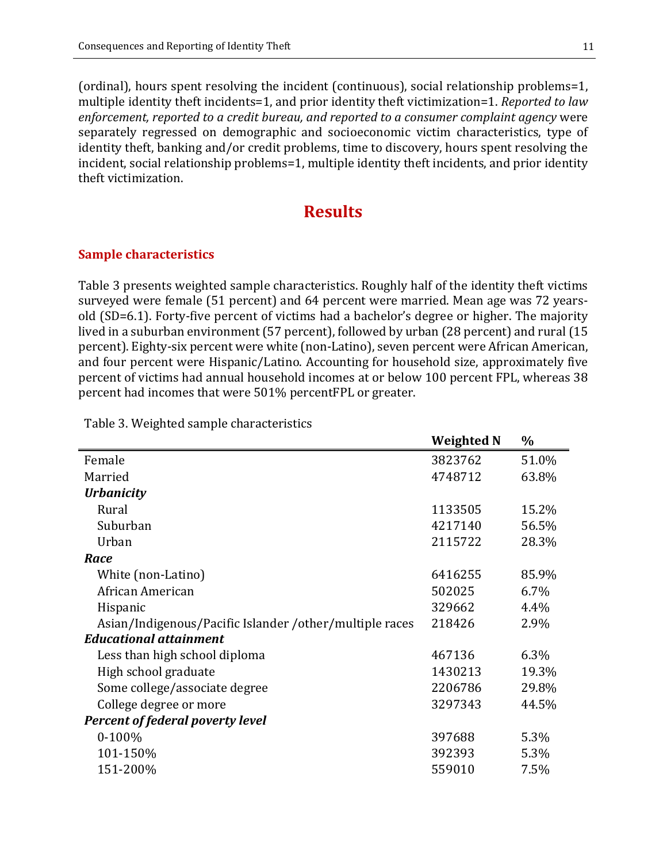(ordinal), hours spent resolving the incident (continuous), social relationship problems=1, multiple identity theft incidents=1, and prior identity theft victimization=1. *Reported to law enforcement, reported to a credit bureau, and reported to a consumer complaint agency* were separately regressed on demographic and socioeconomic victim characteristics, type of identity theft, banking and/or credit problems, time to discovery, hours spent resolving the incident, social relationship problems=1, multiple identity theft incidents, and prior identity theft victimization.

## **Results**

#### **Sample characteristics**

Table 3 presents weighted sample characteristics. Roughly half of the identity theft victims surveyed were female (51 percent) and 64 percent were married. Mean age was 72 yearsold (SD=6.1). Forty-five percent of victims had a bachelor's degree or higher. The majority lived in a suburban environment (57 percent), followed by urban (28 percent) and rural (15 percent). Eighty-six percent were white (non-Latino), seven percent were African American, and four percent were Hispanic/Latino. Accounting for household size, approximately five percent of victims had annual household incomes at or below 100 percent FPL, whereas 38 percent had incomes that were 501% percentFPL or greater.

 $W \cdot \nabla h$  **M**  $\theta$ 

|                                                         | <u>Weighten</u> | 70    |
|---------------------------------------------------------|-----------------|-------|
| Female                                                  | 3823762         | 51.0% |
| Married                                                 | 4748712         | 63.8% |
| <b>Urbanicity</b>                                       |                 |       |
| Rural                                                   | 1133505         | 15.2% |
| Suburban                                                | 4217140         | 56.5% |
| Urban                                                   | 2115722         | 28.3% |
| Race                                                    |                 |       |
| White (non-Latino)                                      | 6416255         | 85.9% |
| African American                                        | 502025          | 6.7%  |
| Hispanic                                                | 329662          | 4.4%  |
| Asian/Indigenous/Pacific Islander /other/multiple races | 218426          | 2.9%  |
| <b>Educational attainment</b>                           |                 |       |
| Less than high school diploma                           | 467136          | 6.3%  |
| High school graduate                                    | 1430213         | 19.3% |
| Some college/associate degree                           | 2206786         | 29.8% |
| College degree or more                                  | 3297343         | 44.5% |
| <b>Percent of federal poverty level</b>                 |                 |       |
| $0-100%$                                                | 397688          | 5.3%  |
| 101-150%                                                | 392393          | 5.3%  |
| 151-200%                                                | 559010          | 7.5%  |
|                                                         |                 |       |

Table 3. Weighted sample characteristics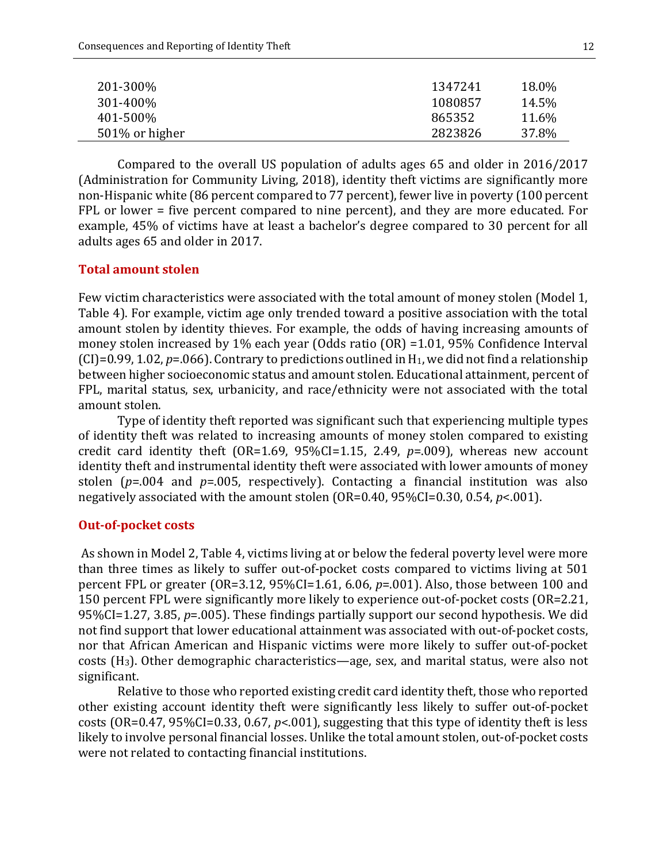| 201-300\%       | 1347241 | 18.0% |
|-----------------|---------|-------|
| 301-400\%       | 1080857 | 14.5% |
| 401-500%        | 865352  | 11.6% |
| 501\% or higher | 2823826 | 37.8% |
|                 |         |       |

Compared to the overall US population of adults ages 65 and older in 2016/2017 (Administration for Community Living, 2018), identity theft victims are significantly more non-Hispanic white (86 percent compared to 77 percent), fewer live in poverty (100 percent FPL or lower = five percent compared to nine percent), and they are more educated. For example, 45% of victims have at least a bachelor's degree compared to 30 percent for all adults ages 65 and older in 2017.

#### **Total amount stolen**

Few victim characteristics were associated with the total amount of money stolen (Model 1, Table 4). For example, victim age only trended toward a positive association with the total amount stolen by identity thieves. For example, the odds of having increasing amounts of money stolen increased by 1% each year (Odds ratio (OR) =1.01, 95% Confidence Interval  $(CI)$ =0.99, 1.02,  $p$ =.066). Contrary to predictions outlined in H<sub>1</sub>, we did not find a relationship between higher socioeconomic status and amount stolen. Educational attainment, percent of FPL, marital status, sex, urbanicity, and race/ethnicity were not associated with the total amount stolen.

Type of identity theft reported was significant such that experiencing multiple types of identity theft was related to increasing amounts of money stolen compared to existing credit card identity theft (OR=1.69, 95%CI=1.15, 2.49, *p*=.009), whereas new account identity theft and instrumental identity theft were associated with lower amounts of money stolen (*p*=.004 and *p*=.005, respectively). Contacting a financial institution was also negatively associated with the amount stolen (OR=0.40, 95%CI=0.30, 0.54, *p*<.001).

#### **Out-of-pocket costs**

As shown in Model 2, Table 4, victims living at or below the federal poverty level were more than three times as likely to suffer out-of-pocket costs compared to victims living at 501 percent FPL or greater (OR=3.12, 95%CI=1.61, 6.06, *p*=.001). Also, those between 100 and 150 percent FPL were significantly more likely to experience out-of-pocket costs (OR=2.21, 95%CI=1.27, 3.85, *p*=.005). These findings partially support our second hypothesis. We did not find support that lower educational attainment was associated with out-of-pocket costs, nor that African American and Hispanic victims were more likely to suffer out-of-pocket costs (H3). Other demographic characteristics—age, sex, and marital status, were also not significant.

Relative to those who reported existing credit card identity theft, those who reported other existing account identity theft were significantly less likely to suffer out-of-pocket costs (OR=0.47, 95%CI=0.33, 0.67, *p*<.001), suggesting that this type of identity theft is less likely to involve personal financial losses. Unlike the total amount stolen, out-of-pocket costs were not related to contacting financial institutions.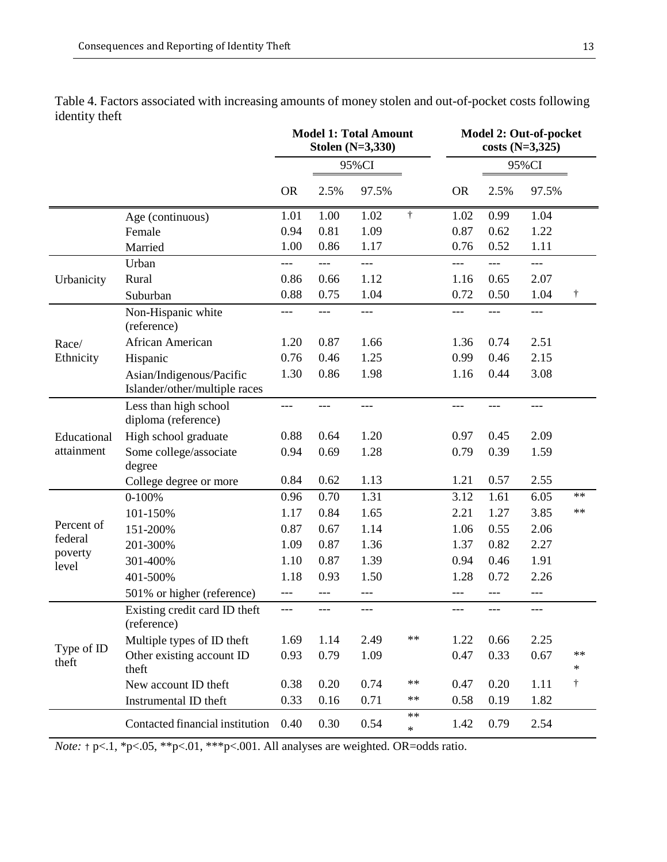|                     |                                                           |           |       | <b>Model 1: Total Amount</b><br>Stolen (N=3,330) |                | Model 2: Out-of-pocket<br>$costs(N=3,325)$ |       |       |           |  |  |
|---------------------|-----------------------------------------------------------|-----------|-------|--------------------------------------------------|----------------|--------------------------------------------|-------|-------|-----------|--|--|
|                     |                                                           |           |       | 95%CI                                            |                |                                            |       | 95%CI |           |  |  |
|                     |                                                           | <b>OR</b> | 2.5%  | 97.5%                                            |                | <b>OR</b>                                  | 2.5%  | 97.5% |           |  |  |
|                     | Age (continuous)                                          | 1.01      | 1.00  | 1.02                                             | $\dagger$      | 1.02                                       | 0.99  | 1.04  |           |  |  |
|                     | Female                                                    | 0.94      | 0.81  | 1.09                                             |                | 0.87                                       | 0.62  | 1.22  |           |  |  |
|                     | Married                                                   | 1.00      | 0.86  | 1.17                                             |                | 0.76                                       | 0.52  | 1.11  |           |  |  |
|                     | Urban                                                     |           | ---   | ---                                              |                | ---                                        | ---   | ---   |           |  |  |
| Urbanicity          | Rural                                                     | 0.86      | 0.66  | 1.12                                             |                | 1.16                                       | 0.65  | 2.07  |           |  |  |
|                     | Suburban                                                  | 0.88      | 0.75  | 1.04                                             |                | 0.72                                       | 0.50  | 1.04  | Ť         |  |  |
|                     | Non-Hispanic white<br>(reference)                         | ---       | ---   | ---                                              |                | ---                                        | ---   | ---   |           |  |  |
| Race/               | African American                                          | 1.20      | 0.87  | 1.66                                             |                | 1.36                                       | 0.74  | 2.51  |           |  |  |
| Ethnicity           | Hispanic                                                  | 0.76      | 0.46  | 1.25                                             |                | 0.99                                       | 0.46  | 2.15  |           |  |  |
|                     | Asian/Indigenous/Pacific<br>Islander/other/multiple races | 1.30      | 0.86  | 1.98                                             |                | 1.16                                       | 0.44  | 3.08  |           |  |  |
|                     | Less than high school<br>diploma (reference)              | ---       |       | ---                                              |                | ---                                        | ---   | ---   |           |  |  |
| Educational         | High school graduate                                      | 0.88      | 0.64  | 1.20                                             |                | 0.97                                       | 0.45  | 2.09  |           |  |  |
| attainment          | Some college/associate<br>degree                          | 0.94      | 0.69  | 1.28                                             |                | 0.79                                       | 0.39  | 1.59  |           |  |  |
|                     | College degree or more                                    | 0.84      | 0.62  | 1.13                                             |                | 1.21                                       | 0.57  | 2.55  |           |  |  |
|                     | $0-100%$                                                  | 0.96      | 0.70  | 1.31                                             |                | 3.12                                       | 1.61  | 6.05  | $**$      |  |  |
|                     | 101-150%                                                  | 1.17      | 0.84  | 1.65                                             |                | 2.21                                       | 1.27  | 3.85  | $**$      |  |  |
| Percent of          | 151-200%                                                  | 0.87      | 0.67  | 1.14                                             |                | 1.06                                       | 0.55  | 2.06  |           |  |  |
| federal             | 201-300%                                                  | 1.09      | 0.87  | 1.36                                             |                | 1.37                                       | 0.82  | 2.27  |           |  |  |
| poverty<br>level    | 301-400%                                                  | 1.10      | 0.87  | 1.39                                             |                | 0.94                                       | 0.46  | 1.91  |           |  |  |
|                     | 401-500%                                                  | 1.18      | 0.93  | 1.50                                             |                | 1.28                                       | 0.72  | 2.26  |           |  |  |
|                     | 501% or higher (reference)                                | ---       | ---   | ---                                              |                | ---                                        | ---   | $---$ |           |  |  |
|                     | Existing credit card ID theft<br>(reference)              | ---       | $---$ | ---                                              |                | ---                                        | $---$ | ---   |           |  |  |
|                     | Multiple types of ID theft                                | 1.69      | 1.14  | 2.49                                             | $\ast\ast$     | 1.22                                       | 0.66  | 2.25  |           |  |  |
| Type of ID<br>theft | Other existing account ID<br>theft                        | 0.93      | 0.79  | 1.09                                             |                | 0.47                                       | 0.33  | 0.67  | $**$<br>* |  |  |
|                     | New account ID theft                                      | 0.38      | 0.20  | 0.74                                             | $\ast\ast$     | 0.47                                       | 0.20  | 1.11  | $\dagger$ |  |  |
|                     | Instrumental ID theft                                     | 0.33      | 0.16  | 0.71                                             | $\ast\ast$     | 0.58                                       | 0.19  | 1.82  |           |  |  |
|                     | Contacted financial institution                           | 0.40      | 0.30  | 0.54                                             | $**$<br>$\ast$ | 1.42                                       | 0.79  | 2.54  |           |  |  |

Table 4. Factors associated with increasing amounts of money stolen and out-of-pocket costs following identity theft

*Note:*  $\uparrow$  p<.1, \*p<.05, \*\*p<.01, \*\*\*p<.001. All analyses are weighted. OR=odds ratio.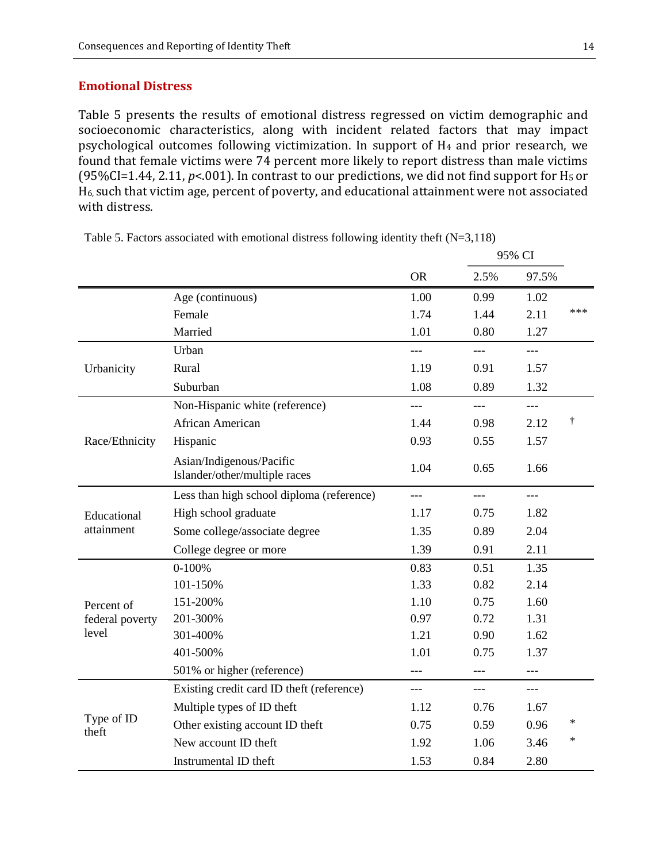#### **Emotional Distress**

Table 5 presents the results of emotional distress regressed on victim demographic and socioeconomic characteristics, along with incident related factors that may impact psychological outcomes following victimization. In support of H4 and prior research, we found that female victims were 74 percent more likely to report distress than male victims (95%CI=1.44, 2.11, *p*<.001). In contrast to our predictions, we did not find support for H5 or H6, such that victim age, percent of poverty, and educational attainment were not associated with distress.

|                     |                                                           |           |       | 95% CI |           |
|---------------------|-----------------------------------------------------------|-----------|-------|--------|-----------|
|                     |                                                           | <b>OR</b> | 2.5%  | 97.5%  |           |
|                     | Age (continuous)                                          | 1.00      | 0.99  | 1.02   |           |
|                     | Female                                                    | 1.74      | 1.44  | 2.11   | ***       |
|                     | Married                                                   | 1.01      | 0.80  | 1.27   |           |
|                     | Urban                                                     |           |       | $---$  |           |
| Urbanicity          | Rural                                                     | 1.19      | 0.91  | 1.57   |           |
|                     | Suburban                                                  | 1.08      | 0.89  | 1.32   |           |
|                     | Non-Hispanic white (reference)                            | $---$     | $---$ | $---$  |           |
|                     | African American                                          | 1.44      | 0.98  | 2.12   | $\dagger$ |
| Race/Ethnicity      | Hispanic                                                  | 0.93      | 0.55  | 1.57   |           |
|                     | Asian/Indigenous/Pacific<br>Islander/other/multiple races | 1.04      | 0.65  | 1.66   |           |
|                     | Less than high school diploma (reference)                 |           |       | $---$  |           |
| Educational         | High school graduate                                      | 1.17      | 0.75  | 1.82   |           |
| attainment          | Some college/associate degree                             | 1.35      | 0.89  | 2.04   |           |
|                     | College degree or more                                    | 1.39      | 0.91  | 2.11   |           |
|                     | $0-100%$                                                  | 0.83      | 0.51  | 1.35   |           |
|                     | 101-150%                                                  | 1.33      | 0.82  | 2.14   |           |
| Percent of          | 151-200%                                                  | 1.10      | 0.75  | 1.60   |           |
| federal poverty     | 201-300%                                                  | 0.97      | 0.72  | 1.31   |           |
| level               | 301-400%                                                  | 1.21      | 0.90  | 1.62   |           |
|                     | 401-500%                                                  | 1.01      | 0.75  | 1.37   |           |
|                     | 501% or higher (reference)                                |           |       | $---$  |           |
|                     | Existing credit card ID theft (reference)                 | $---$     | $---$ | $---$  |           |
|                     | Multiple types of ID theft                                | 1.12      | 0.76  | 1.67   |           |
| Type of ID<br>theft | Other existing account ID theft                           | 0.75      | 0.59  | 0.96   | $\ast$    |
|                     | New account ID theft                                      | 1.92      | 1.06  | 3.46   | *         |
|                     | Instrumental ID theft                                     | 1.53      | 0.84  | 2.80   |           |

Table 5. Factors associated with emotional distress following identity theft (N=3,118)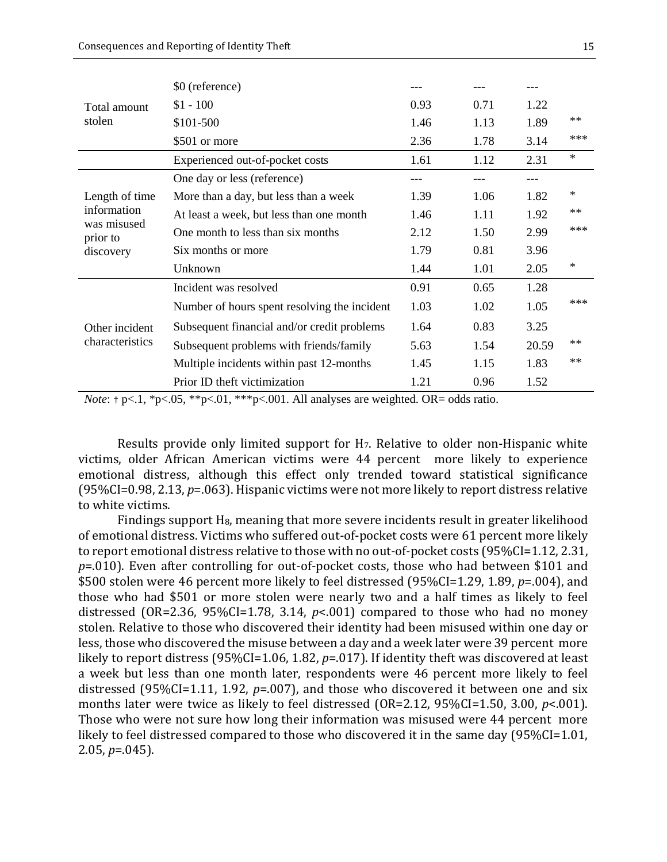|                         | \$0 (reference)                              |      |      |       |        |
|-------------------------|----------------------------------------------|------|------|-------|--------|
| Total amount<br>stolen  | $$1 - 100$                                   | 0.93 | 0.71 | 1.22  |        |
|                         | \$101-500                                    | 1.46 | 1.13 | 1.89  | $**$   |
|                         | \$501 or more                                | 2.36 | 1.78 | 3.14  | ***    |
|                         | Experienced out-of-pocket costs              | 1.61 | 1.12 | 2.31  | $\ast$ |
|                         | One day or less (reference)                  |      |      | ---   |        |
| Length of time          | More than a day, but less than a week        | 1.39 | 1.06 | 1.82  | ∗      |
| information             | At least a week, but less than one month     | 1.46 | 1.11 | 1.92  | $**$   |
| was misused<br>prior to | One month to less than six months            | 2.12 | 1.50 | 2.99  | ***    |
| discovery               | Six months or more                           | 1.79 | 0.81 | 3.96  |        |
|                         | Unknown                                      | 1.44 | 1.01 | 2.05  | ∗      |
|                         | Incident was resolved                        | 0.91 | 0.65 | 1.28  |        |
|                         | Number of hours spent resolving the incident | 1.03 | 1.02 | 1.05  | ***    |
| Other incident          | Subsequent financial and/or credit problems  | 1.64 | 0.83 | 3.25  |        |
| characteristics         | Subsequent problems with friends/family      | 5.63 | 1.54 | 20.59 | $**$   |
|                         | Multiple incidents within past 12-months     | 1.45 | 1.15 | 1.83  | $**$   |
|                         | Prior ID theft victimization                 | 1.21 | 0.96 | 1.52  |        |

*Note*:  $\uparrow$  p<.1, \*p<.05, \*\*p<.01, \*\*\*p<.001. All analyses are weighted. OR= odds ratio.

Results provide only limited support for H7. Relative to older non-Hispanic white victims, older African American victims were 44 percent more likely to experience emotional distress, although this effect only trended toward statistical significance (95%CI=0.98, 2.13, *p*=.063). Hispanic victims were not more likely to report distress relative to white victims.

Findings support H<sub>8</sub>, meaning that more severe incidents result in greater likelihood of emotional distress. Victims who suffered out-of-pocket costs were 61 percent more likely to report emotional distress relative to those with no out-of-pocket costs (95%CI=1.12, 2.31, *p*=.010). Even after controlling for out-of-pocket costs, those who had between \$101 and \$500 stolen were 46 percent more likely to feel distressed (95%CI=1.29, 1.89, *p*=.004), and those who had \$501 or more stolen were nearly two and a half times as likely to feel distressed (OR=2.36, 95%CI=1.78, 3.14, *p*<.001) compared to those who had no money stolen. Relative to those who discovered their identity had been misused within one day or less, those who discovered the misuse between a day and a week later were 39 percent more likely to report distress (95%CI=1.06, 1.82, *p*=.017). If identity theft was discovered at least a week but less than one month later, respondents were 46 percent more likely to feel distressed (95%CI=1.11, 1.92, *p*=.007), and those who discovered it between one and six months later were twice as likely to feel distressed (OR=2.12, 95%CI=1.50, 3.00, *p*<.001). Those who were not sure how long their information was misused were 44 percent more likely to feel distressed compared to those who discovered it in the same day (95%CI=1.01, 2.05, *p*=.045).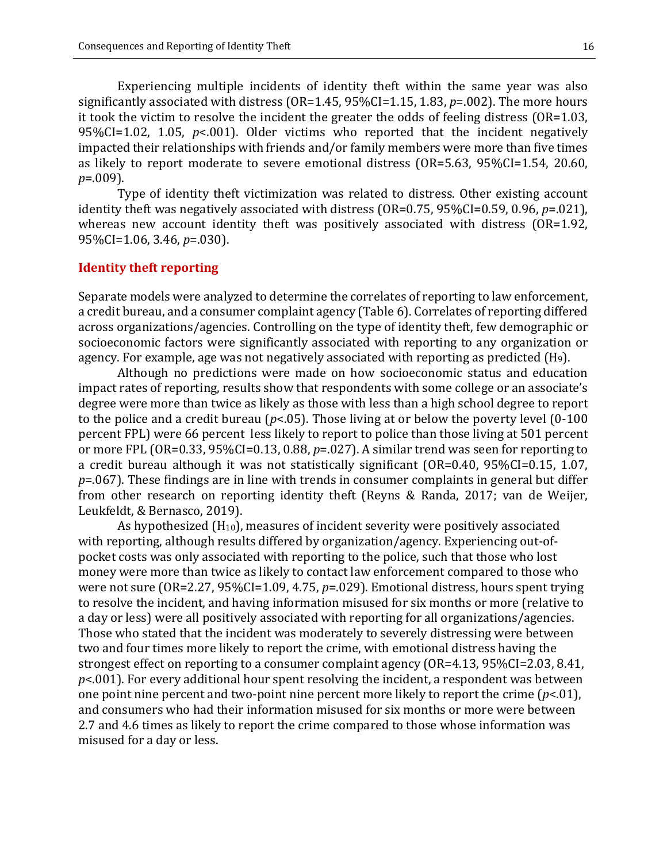Experiencing multiple incidents of identity theft within the same year was also significantly associated with distress (OR=1.45, 95%CI=1.15, 1.83, *p*=.002). The more hours it took the victim to resolve the incident the greater the odds of feeling distress (OR=1.03, 95%CI=1.02, 1.05, *p*<.001). Older victims who reported that the incident negatively impacted their relationships with friends and/or family members were more than five times as likely to report moderate to severe emotional distress (OR=5.63, 95%CI=1.54, 20.60, *p*=.009).

Type of identity theft victimization was related to distress. Other existing account identity theft was negatively associated with distress (OR=0.75, 95%CI=0.59, 0.96, *p*=.021), whereas new account identity theft was positively associated with distress (OR=1.92, 95%CI=1.06, 3.46, *p*=.030).

#### **Identity theft reporting**

Separate models were analyzed to determine the correlates of reporting to law enforcement, a credit bureau, and a consumer complaint agency (Table 6). Correlates of reporting differed across organizations/agencies. Controlling on the type of identity theft, few demographic or socioeconomic factors were significantly associated with reporting to any organization or agency. For example, age was not negatively associated with reporting as predicted (H9).

Although no predictions were made on how socioeconomic status and education impact rates of reporting, results show that respondents with some college or an associate's degree were more than twice as likely as those with less than a high school degree to report to the police and a credit bureau (*p*<.05). Those living at or below the poverty level (0-100 percent FPL) were 66 percent less likely to report to police than those living at 501 percent or more FPL (OR=0.33, 95%CI=0.13, 0.88, *p*=.027). A similar trend was seen for reporting to a credit bureau although it was not statistically significant (OR=0.40, 95%CI=0.15, 1.07, *p*=.067). These findings are in line with trends in consumer complaints in general but differ from other research on reporting identity theft (Reyns & Randa, 2017; van de Weijer, Leukfeldt, & Bernasco, 2019).

As hypothesized (H10), measures of incident severity were positively associated with reporting, although results differed by organization/agency. Experiencing out-ofpocket costs was only associated with reporting to the police, such that those who lost money were more than twice as likely to contact law enforcement compared to those who were not sure (OR=2.27, 95%CI=1.09, 4.75, *p*=.029). Emotional distress, hours spent trying to resolve the incident, and having information misused for six months or more (relative to a day or less) were all positively associated with reporting for all organizations/agencies. Those who stated that the incident was moderately to severely distressing were between two and four times more likely to report the crime, with emotional distress having the strongest effect on reporting to a consumer complaint agency (OR=4.13, 95%CI=2.03, 8.41, *p*<.001). For every additional hour spent resolving the incident, a respondent was between one point nine percent and two-point nine percent more likely to report the crime  $(p<01)$ , and consumers who had their information misused for six months or more were between 2.7 and 4.6 times as likely to report the crime compared to those whose information was misused for a day or less.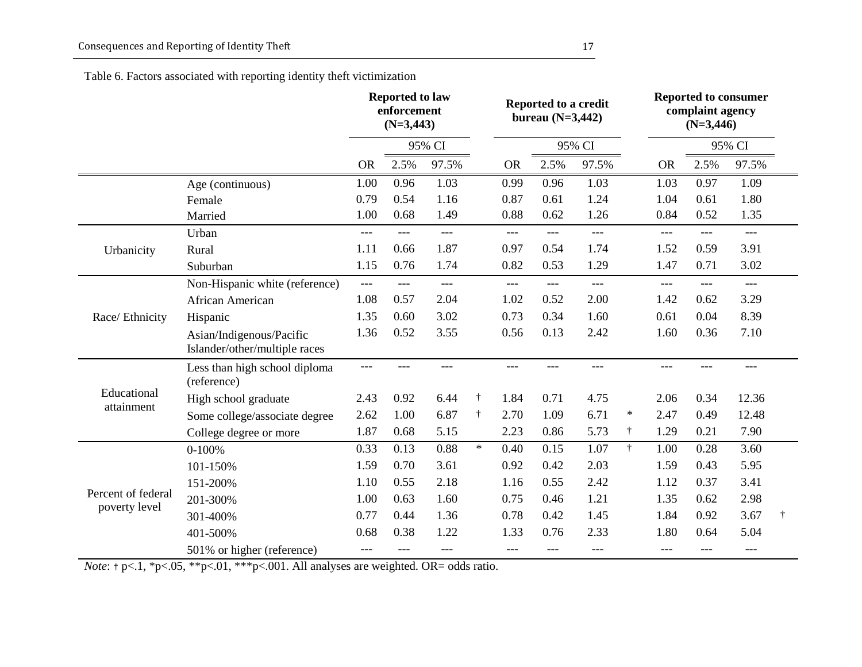Table 6. Factors associated with reporting identity theft victimization

|                                     |                                                           | <b>Reported to law</b><br>enforcement<br>$(N=3,443)$ |       |        |            |           | Reported to a credit<br>bureau $(N=3,442)$ |       |           | <b>Reported to consumer</b><br>complaint agency<br>$(N=3,446)$ |        |                     |   |
|-------------------------------------|-----------------------------------------------------------|------------------------------------------------------|-------|--------|------------|-----------|--------------------------------------------|-------|-----------|----------------------------------------------------------------|--------|---------------------|---|
|                                     |                                                           |                                                      |       | 95% CI |            | 95% CI    |                                            |       |           |                                                                | 95% CI |                     |   |
|                                     |                                                           | <b>OR</b>                                            | 2.5%  | 97.5%  |            | <b>OR</b> | 2.5%                                       | 97.5% |           | <b>OR</b>                                                      | 2.5%   | 97.5%               |   |
|                                     | Age (continuous)                                          | 1.00                                                 | 0.96  | 1.03   |            | 0.99      | 0.96                                       | 1.03  |           | 1.03                                                           | 0.97   | 1.09                |   |
|                                     | Female                                                    | 0.79                                                 | 0.54  | 1.16   |            | 0.87      | 0.61                                       | 1.24  |           | 1.04                                                           | 0.61   | 1.80                |   |
|                                     | Married                                                   | 1.00                                                 | 0.68  | 1.49   |            | 0.88      | 0.62                                       | 1.26  |           | 0.84                                                           | 0.52   | 1.35                |   |
|                                     | Urban                                                     | $---$                                                | $---$ | $---$  |            | $---$     | $---$                                      | $---$ |           | $---$                                                          | $---$  | $\qquad \qquad - -$ |   |
| Urbanicity                          | Rural                                                     | 1.11                                                 | 0.66  | 1.87   |            | 0.97      | 0.54                                       | 1.74  |           | 1.52                                                           | 0.59   | 3.91                |   |
|                                     | Suburban                                                  | 1.15                                                 | 0.76  | 1.74   |            | 0.82      | 0.53                                       | 1.29  |           | 1.47                                                           | 0.71   | 3.02                |   |
|                                     | Non-Hispanic white (reference)                            | $---$                                                | $---$ | $---$  |            | $---$     | ---                                        | $---$ |           | $---$                                                          | ---    | $---$               |   |
|                                     | African American                                          | 1.08                                                 | 0.57  | 2.04   |            | 1.02      | 0.52                                       | 2.00  |           | 1.42                                                           | 0.62   | 3.29                |   |
| Race/ Ethnicity                     | Hispanic                                                  | 1.35                                                 | 0.60  | 3.02   |            | 0.73      | 0.34                                       | 1.60  |           | 0.61                                                           | 0.04   | 8.39                |   |
|                                     | Asian/Indigenous/Pacific<br>Islander/other/multiple races | 1.36                                                 | 0.52  | 3.55   |            | 0.56      | 0.13                                       | 2.42  |           | 1.60                                                           | 0.36   | 7.10                |   |
|                                     | Less than high school diploma<br>(reference)              | ---                                                  |       | ---    |            |           |                                            | ---   |           |                                                                |        | ---                 |   |
| Educational<br>attainment           | High school graduate                                      | 2.43                                                 | 0.92  | 6.44   | $^\dagger$ | 1.84      | 0.71                                       | 4.75  |           | 2.06                                                           | 0.34   | 12.36               |   |
|                                     | Some college/associate degree                             | 2.62                                                 | 1.00  | 6.87   | $^\dagger$ | 2.70      | 1.09                                       | 6.71  | $\ast$    | 2.47                                                           | 0.49   | 12.48               |   |
|                                     | College degree or more                                    | 1.87                                                 | 0.68  | 5.15   |            | 2.23      | 0.86                                       | 5.73  | $\dagger$ | 1.29                                                           | 0.21   | 7.90                |   |
|                                     | $0-100%$                                                  | 0.33                                                 | 0.13  | 0.88   | $\ast$     | 0.40      | 0.15                                       | 1.07  | $\dagger$ | 1.00                                                           | 0.28   | 3.60                |   |
|                                     | 101-150%                                                  | 1.59                                                 | 0.70  | 3.61   |            | 0.92      | 0.42                                       | 2.03  |           | 1.59                                                           | 0.43   | 5.95                |   |
|                                     | 151-200%                                                  | 1.10                                                 | 0.55  | 2.18   |            | 1.16      | 0.55                                       | 2.42  |           | 1.12                                                           | 0.37   | 3.41                |   |
| Percent of federal<br>poverty level | 201-300%                                                  | 1.00                                                 | 0.63  | 1.60   |            | 0.75      | 0.46                                       | 1.21  |           | 1.35                                                           | 0.62   | 2.98                |   |
|                                     | 301-400%                                                  | 0.77                                                 | 0.44  | 1.36   |            | 0.78      | 0.42                                       | 1.45  |           | 1.84                                                           | 0.92   | 3.67                | Ť |
|                                     | 401-500%                                                  | 0.68                                                 | 0.38  | 1.22   |            | 1.33      | 0.76                                       | 2.33  |           | 1.80                                                           | 0.64   | 5.04                |   |
|                                     | 501% or higher (reference)                                | $---$                                                | ---   | ---    |            | ---       | ---                                        | ---   |           | $---$                                                          | ---    | ---                 |   |

*Note*:  $\uparrow$  p<.1, \*p<.05, \*\*p<.01, \*\*\*p<.001. All analyses are weighted. OR= odds ratio.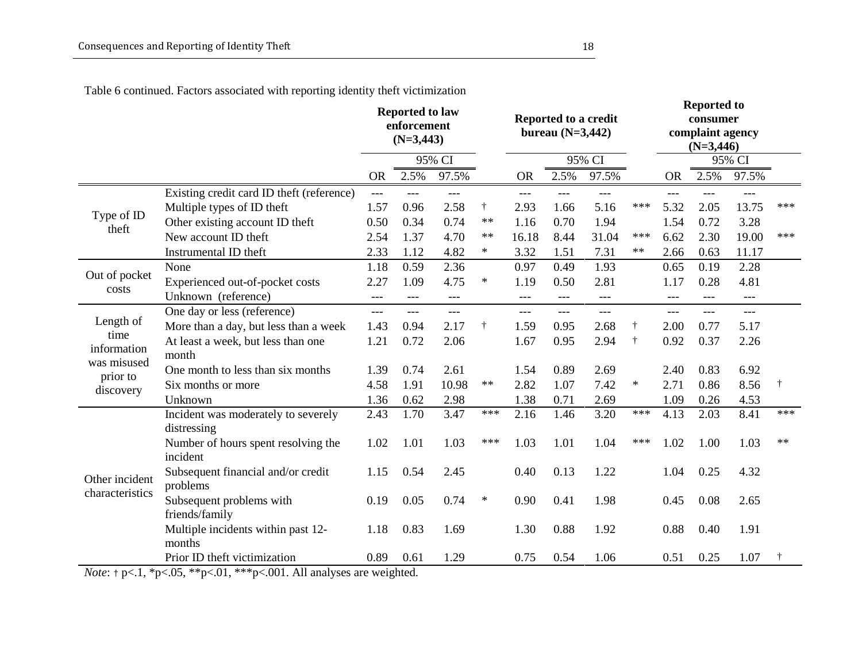|                     |                                                    | <b>Reported to law</b><br>enforcement<br>$(N=3,443)$ |       |        |        | Reported to a credit<br>bureau $(N=3,442)$ |       |        |            | <b>Reported to</b><br>consumer<br>complaint agency<br>$(N=3,446)$ |                |        |           |
|---------------------|----------------------------------------------------|------------------------------------------------------|-------|--------|--------|--------------------------------------------|-------|--------|------------|-------------------------------------------------------------------|----------------|--------|-----------|
|                     |                                                    |                                                      |       | 95% CI |        |                                            |       | 95% CI |            |                                                                   |                | 95% CI |           |
|                     |                                                    | <b>OR</b>                                            | 2.5%  | 97.5%  |        | <b>OR</b>                                  | 2.5%  | 97.5%  |            | <b>OR</b>                                                         | 2.5%           | 97.5%  |           |
|                     | Existing credit card ID theft (reference)          | $---$                                                | $---$ | ---    |        | $---$                                      | ---   | ---    |            | $---$                                                             | ---            | ---    |           |
| Type of ID          | Multiple types of ID theft                         | 1.57                                                 | 0.96  | 2.58   | Ť.     | 2.93                                       | 1.66  | 5.16   | ***        | 5.32                                                              | 2.05           | 13.75  | ***       |
| theft               | Other existing account ID theft                    | 0.50                                                 | 0.34  | 0.74   | $**$   | 1.16                                       | 0.70  | 1.94   |            | 1.54                                                              | 0.72           | 3.28   |           |
|                     | New account ID theft                               | 2.54                                                 | 1.37  | 4.70   | $**$   | 16.18                                      | 8.44  | 31.04  | ***        | 6.62                                                              | 2.30           | 19.00  | $***$     |
|                     | Instrumental ID theft                              | 2.33                                                 | 1.12  | 4.82   | $\ast$ | 3.32                                       | 1.51  | 7.31   | $**$       | 2.66                                                              | 0.63           | 11.17  |           |
| Out of pocket       | None                                               | 1.18                                                 | 0.59  | 2.36   |        | 0.97                                       | 0.49  | 1.93   |            | 0.65                                                              | 0.19           | 2.28   |           |
| costs               | Experienced out-of-pocket costs                    | 2.27                                                 | 1.09  | 4.75   | $\ast$ | 1.19                                       | 0.50  | 2.81   |            | 1.17                                                              | 0.28           | 4.81   |           |
|                     | Unknown (reference)                                | $---$                                                | $---$ | $---$  |        | $---$                                      | $---$ | $---$  |            | $---$                                                             | $---$          | $---$  |           |
|                     | One day or less (reference)                        | $---$                                                | $---$ | $---$  |        | $---$                                      | $---$ | $---$  |            | $---$                                                             | $\overline{a}$ | $---$  |           |
| Length of           | More than a day, but less than a week              | 1.43                                                 | 0.94  | 2.17   | Ť.     | 1.59                                       | 0.95  | 2.68   | $^\dagger$ | 2.00                                                              | 0.77           | 5.17   |           |
| time<br>information | At least a week, but less than one                 | 1.21                                                 | 0.72  | 2.06   |        | 1.67                                       | 0.95  | 2.94   | $\ddagger$ | 0.92                                                              | 0.37           | 2.26   |           |
| was misused         | month                                              |                                                      |       |        |        |                                            |       |        |            |                                                                   |                |        |           |
| prior to            | One month to less than six months                  | 1.39                                                 | 0.74  | 2.61   |        | 1.54                                       | 0.89  | 2.69   |            | 2.40                                                              | 0.83           | 6.92   |           |
| discovery           | Six months or more                                 | 4.58                                                 | 1.91  | 10.98  | $**$   | 2.82                                       | 1.07  | 7.42   | $\ast$     | 2.71                                                              | 0.86           | 8.56   | $\dagger$ |
|                     | Unknown                                            | 1.36                                                 | 0.62  | 2.98   |        | 1.38                                       | 0.71  | 2.69   |            | 1.09                                                              | 0.26           | 4.53   |           |
|                     | Incident was moderately to severely<br>distressing | 2.43                                                 | 1.70  | 3.47   | ***    | 2.16                                       | 1.46  | 3.20   | ***        | 4.13                                                              | 2.03           | 8.41   | $***$     |
|                     | Number of hours spent resolving the<br>incident    | 1.02                                                 | 1.01  | 1.03   | ***    | 1.03                                       | 1.01  | 1.04   | ***        | 1.02                                                              | 1.00           | 1.03   | $**$      |
| Other incident      | Subsequent financial and/or credit<br>problems     | 1.15                                                 | 0.54  | 2.45   |        | 0.40                                       | 0.13  | 1.22   |            | 1.04                                                              | 0.25           | 4.32   |           |
| characteristics     | Subsequent problems with<br>friends/family         | 0.19                                                 | 0.05  | 0.74   | $\ast$ | 0.90                                       | 0.41  | 1.98   |            | 0.45                                                              | 0.08           | 2.65   |           |
|                     | Multiple incidents within past 12-<br>months       | 1.18                                                 | 0.83  | 1.69   |        | 1.30                                       | 0.88  | 1.92   |            | 0.88                                                              | 0.40           | 1.91   |           |
|                     | Prior ID theft victimization                       | 0.89                                                 | 0.61  | 1.29   |        | 0.75                                       | 0.54  | 1.06   |            | 0.51                                                              | 0.25           | 1.07   |           |

Table 6 continued. Factors associated with reporting identity theft victimization

*Note*:  $\uparrow$  p<.1, \*p<.05, \*\*p<.01, \*\*\*p<.001. All analyses are weighted.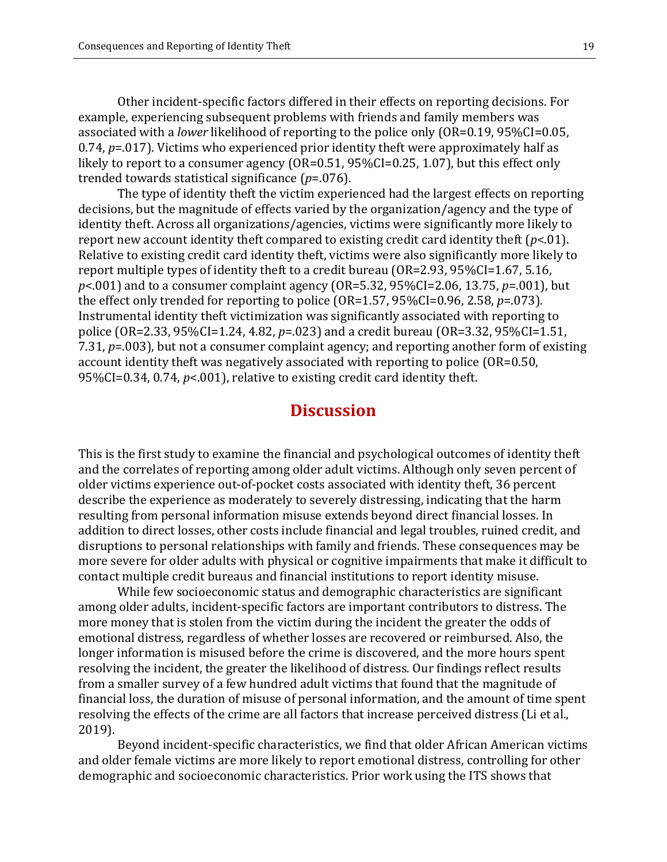Other incident-specific factors differed in their effects on reporting decisions. For example, experiencing subsequent problems with friends and family members was associated with a *lower* likelihood of reporting to the police only (OR=0.19, 95%CI=0.05, 0.74, *p*=.017). Victims who experienced prior identity theft were approximately half as likely to report to a consumer agency (OR=0.51, 95%CI=0.25, 1.07), but this effect only trended towards statistical significance (*p*=.076).

The type of identity theft the victim experienced had the largest effects on reporting decisions, but the magnitude of effects varied by the organization/agency and the type of identity theft. Across all organizations/agencies, victims were significantly more likely to report new account identity theft compared to existing credit card identity theft (*p*<.01). Relative to existing credit card identity theft, victims were also significantly more likely to report multiple types of identity theft to a credit bureau (OR=2.93, 95%CI=1.67, 5.16, *p*<.001) and to a consumer complaint agency (OR=5.32, 95%CI=2.06, 13.75, *p*=.001), but the effect only trended for reporting to police (OR=1.57, 95%CI=0.96, 2.58, *p*=.073). Instrumental identity theft victimization was significantly associated with reporting to police (OR=2.33, 95%CI=1.24, 4.82, *p*=.023) and a credit bureau (OR=3.32, 95%CI=1.51, 7.31, *p*=.003), but not a consumer complaint agency; and reporting another form of existing account identity theft was negatively associated with reporting to police (OR=0.50, 95%CI=0.34, 0.74, *p*<.001), relative to existing credit card identity theft.

## **Discussion**

This is the first study to examine the financial and psychological outcomes of identity theft and the correlates of reporting among older adult victims. Although only seven percent of older victims experience out-of-pocket costs associated with identity theft, 36 percent describe the experience as moderately to severely distressing, indicating that the harm resulting from personal information misuse extends beyond direct financial losses. In addition to direct losses, other costs include financial and legal troubles, ruined credit, and disruptions to personal relationships with family and friends. These consequences may be more severe for older adults with physical or cognitive impairments that make it difficult to contact multiple credit bureaus and financial institutions to report identity misuse.

While few socioeconomic status and demographic characteristics are significant among older adults, incident-specific factors are important contributors to distress. The more money that is stolen from the victim during the incident the greater the odds of emotional distress, regardless of whether losses are recovered or reimbursed. Also, the longer information is misused before the crime is discovered, and the more hours spent resolving the incident, the greater the likelihood of distress. Our findings reflect results from a smaller survey of a few hundred adult victims that found that the magnitude of financial loss, the duration of misuse of personal information, and the amount of time spent resolving the effects of the crime are all factors that increase perceived distress (Li et al., 2019).

Beyond incident-specific characteristics, we find that older African American victims and older female victims are more likely to report emotional distress, controlling for other demographic and socioeconomic characteristics. Prior work using the ITS shows that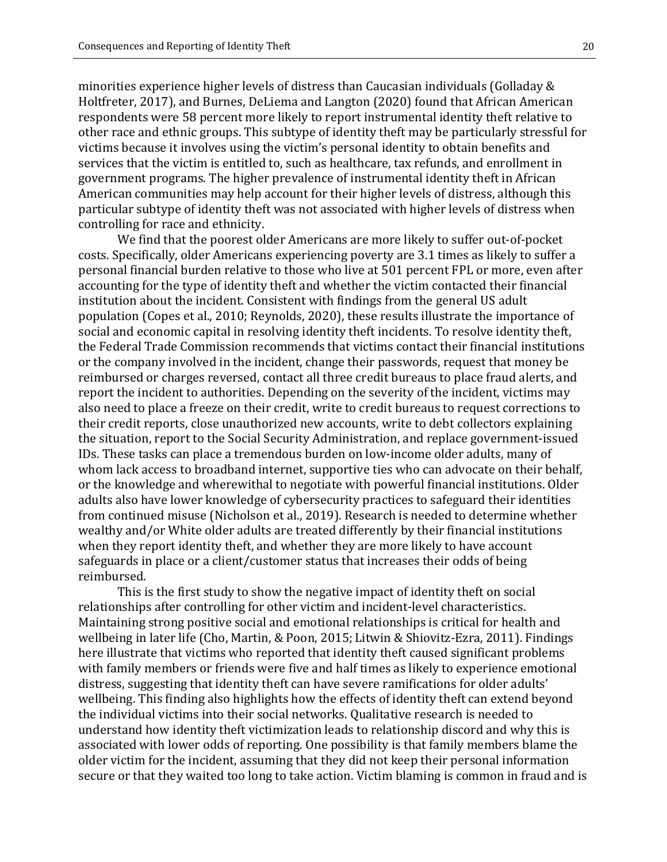Holtfreter, 2017), and Burnes, DeLiema and Langton (2020) found that African American respondents were 58 percent more likely to report instrumental identity theft relative to other race and ethnic groups. This subtype of identity theft may be particularly stressful for victims because it involves using the victim's personal identity to obtain benefits and services that the victim is entitled to, such as healthcare, tax refunds, and enrollment in government programs. The higher prevalence of instrumental identity theft in African American communities may help account for their higher levels of distress, although this particular subtype of identity theft was not associated with higher levels of distress when controlling for race and ethnicity.

We find that the poorest older Americans are more likely to suffer out-of-pocket costs. Specifically, older Americans experiencing poverty are 3.1 times as likely to suffer a personal financial burden relative to those who live at 501 percent FPL or more, even after accounting for the type of identity theft and whether the victim contacted their financial institution about the incident. Consistent with findings from the general US adult population (Copes et al., 2010; Reynolds, 2020), these results illustrate the importance of social and economic capital in resolving identity theft incidents. To resolve identity theft, the Federal Trade Commission recommends that victims contact their financial institutions or the company involved in the incident, change their passwords, request that money be reimbursed or charges reversed, contact all three credit bureaus to place fraud alerts, and report the incident to authorities. Depending on the severity of the incident, victims may also need to place a freeze on their credit, write to credit bureaus to request corrections to their credit reports, close unauthorized new accounts, write to debt collectors explaining the situation, report to the Social Security Administration, and replace government-issued IDs. These tasks can place a tremendous burden on low-income older adults, many of whom lack access to broadband internet, supportive ties who can advocate on their behalf, or the knowledge and wherewithal to negotiate with powerful financial institutions. Older adults also have lower knowledge of cybersecurity practices to safeguard their identities from continued misuse (Nicholson et al., 2019). Research is needed to determine whether wealthy and/or White older adults are treated differently by their financial institutions when they report identity theft, and whether they are more likely to have account safeguards in place or a client/customer status that increases their odds of being reimbursed.

This is the first study to show the negative impact of identity theft on social relationships after controlling for other victim and incident-level characteristics. Maintaining strong positive social and emotional relationships is critical for health and wellbeing in later life (Cho, Martin, & Poon, 2015; Litwin & Shiovitz-Ezra, 2011). Findings here illustrate that victims who reported that identity theft caused significant problems with family members or friends were five and half times as likely to experience emotional distress, suggesting that identity theft can have severe ramifications for older adults' wellbeing. This finding also highlights how the effects of identity theft can extend beyond the individual victims into their social networks. Qualitative research is needed to understand how identity theft victimization leads to relationship discord and why this is associated with lower odds of reporting. One possibility is that family members blame the older victim for the incident, assuming that they did not keep their personal information secure or that they waited too long to take action. Victim blaming is common in fraud and is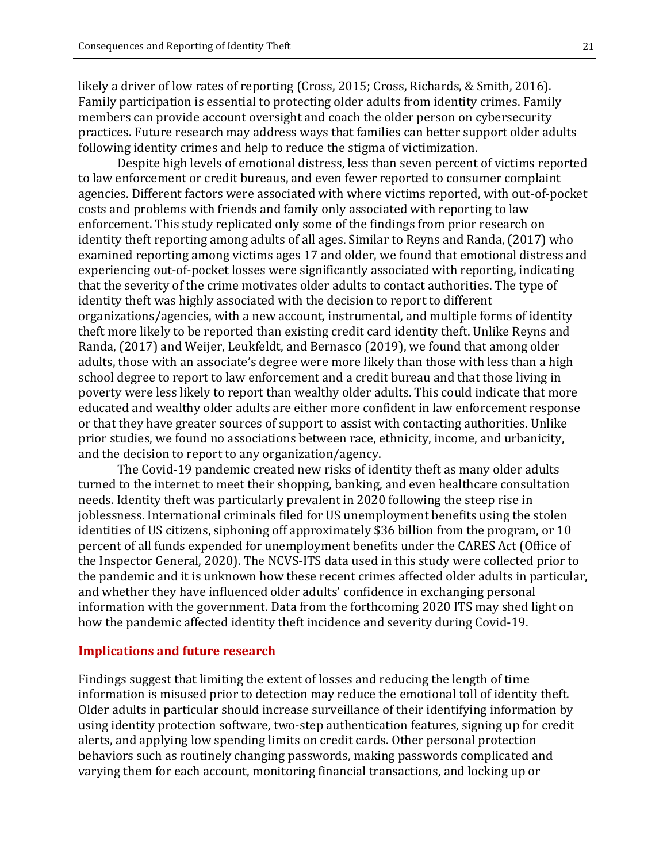likely a driver of low rates of reporting (Cross, 2015; Cross, Richards, & Smith, 2016). Family participation is essential to protecting older adults from identity crimes. Family members can provide account oversight and coach the older person on cybersecurity practices. Future research may address ways that families can better support older adults following identity crimes and help to reduce the stigma of victimization.

Despite high levels of emotional distress, less than seven percent of victims reported to law enforcement or credit bureaus, and even fewer reported to consumer complaint agencies. Different factors were associated with where victims reported, with out-of-pocket costs and problems with friends and family only associated with reporting to law enforcement. This study replicated only some of the findings from prior research on identity theft reporting among adults of all ages. Similar to Reyns and Randa, (2017) who examined reporting among victims ages 17 and older, we found that emotional distress and experiencing out-of-pocket losses were significantly associated with reporting, indicating that the severity of the crime motivates older adults to contact authorities. The type of identity theft was highly associated with the decision to report to different organizations/agencies, with a new account, instrumental, and multiple forms of identity theft more likely to be reported than existing credit card identity theft. Unlike Reyns and Randa, (2017) and Weijer, Leukfeldt, and Bernasco (2019), we found that among older adults, those with an associate's degree were more likely than those with less than a high school degree to report to law enforcement and a credit bureau and that those living in poverty were less likely to report than wealthy older adults. This could indicate that more educated and wealthy older adults are either more confident in law enforcement response or that they have greater sources of support to assist with contacting authorities. Unlike prior studies, we found no associations between race, ethnicity, income, and urbanicity, and the decision to report to any organization/agency.

The Covid-19 pandemic created new risks of identity theft as many older adults turned to the internet to meet their shopping, banking, and even healthcare consultation needs. Identity theft was particularly prevalent in 2020 following the steep rise in joblessness. International criminals filed for US unemployment benefits using the stolen identities of US citizens, siphoning off approximately \$36 billion from the program, or 10 percent of all funds expended for unemployment benefits under the CARES Act (Office of the Inspector General, 2020). The NCVS-ITS data used in this study were collected prior to the pandemic and it is unknown how these recent crimes affected older adults in particular, and whether they have influenced older adults' confidence in exchanging personal information with the government. Data from the forthcoming 2020 ITS may shed light on how the pandemic affected identity theft incidence and severity during Covid-19.

#### **Implications and future research**

Findings suggest that limiting the extent of losses and reducing the length of time information is misused prior to detection may reduce the emotional toll of identity theft. Older adults in particular should increase surveillance of their identifying information by using identity protection software, two-step authentication features, signing up for credit alerts, and applying low spending limits on credit cards. Other personal protection behaviors such as routinely changing passwords, making passwords complicated and varying them for each account, monitoring financial transactions, and locking up or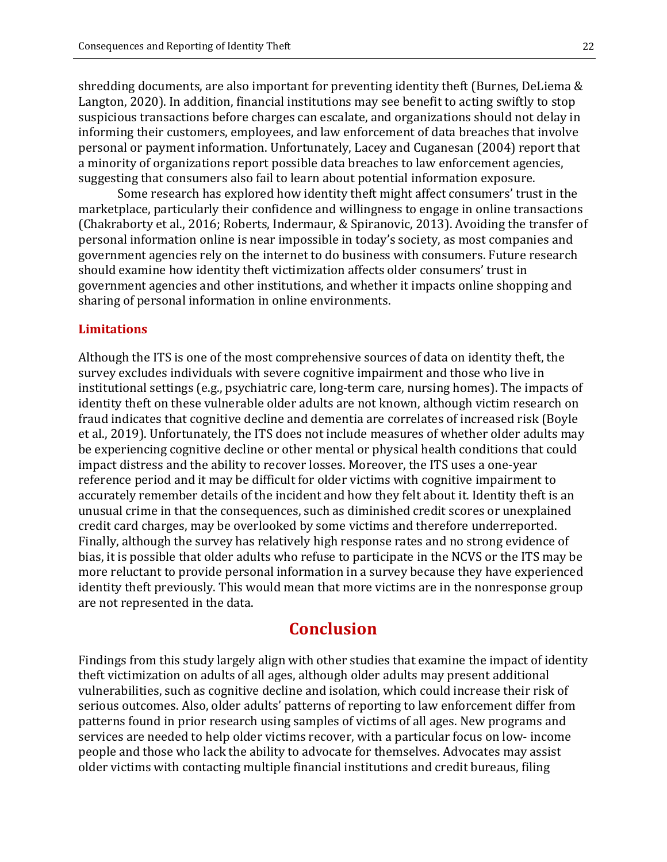shredding documents, are also important for preventing identity theft (Burnes, DeLiema & Langton, 2020). In addition, financial institutions may see benefit to acting swiftly to stop suspicious transactions before charges can escalate, and organizations should not delay in informing their customers, employees, and law enforcement of data breaches that involve personal or payment information. Unfortunately, Lacey and Cuganesan (2004) report that a minority of organizations report possible data breaches to law enforcement agencies, suggesting that consumers also fail to learn about potential information exposure.

Some research has explored how identity theft might affect consumers' trust in the marketplace, particularly their confidence and willingness to engage in online transactions (Chakraborty et al., 2016; Roberts, Indermaur, & Spiranovic, 2013). Avoiding the transfer of personal information online is near impossible in today's society, as most companies and government agencies rely on the internet to do business with consumers. Future research should examine how identity theft victimization affects older consumers' trust in government agencies and other institutions, and whether it impacts online shopping and sharing of personal information in online environments.

#### **Limitations**

Although the ITS is one of the most comprehensive sources of data on identity theft, the survey excludes individuals with severe cognitive impairment and those who live in institutional settings (e.g., psychiatric care, long-term care, nursing homes). The impacts of identity theft on these vulnerable older adults are not known, although victim research on fraud indicates that cognitive decline and dementia are correlates of increased risk (Boyle et al., 2019). Unfortunately, the ITS does not include measures of whether older adults may be experiencing cognitive decline or other mental or physical health conditions that could impact distress and the ability to recover losses. Moreover, the ITS uses a one-year reference period and it may be difficult for older victims with cognitive impairment to accurately remember details of the incident and how they felt about it. Identity theft is an unusual crime in that the consequences, such as diminished credit scores or unexplained credit card charges, may be overlooked by some victims and therefore underreported. Finally, although the survey has relatively high response rates and no strong evidence of bias, it is possible that older adults who refuse to participate in the NCVS or the ITS may be more reluctant to provide personal information in a survey because they have experienced identity theft previously. This would mean that more victims are in the nonresponse group are not represented in the data.

# **Conclusion**

Findings from this study largely align with other studies that examine the impact of identity theft victimization on adults of all ages, although older adults may present additional vulnerabilities, such as cognitive decline and isolation, which could increase their risk of serious outcomes. Also, older adults' patterns of reporting to law enforcement differ from patterns found in prior research using samples of victims of all ages. New programs and services are needed to help older victims recover, with a particular focus on low- income people and those who lack the ability to advocate for themselves. Advocates may assist older victims with contacting multiple financial institutions and credit bureaus, filing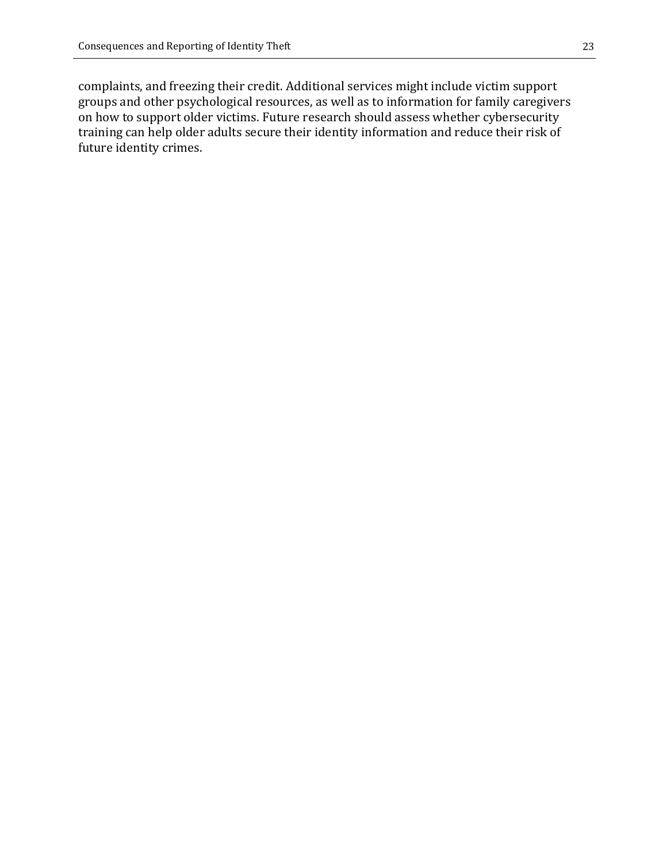complaints, and freezing their credit. Additional services might include victim support groups and other psychological resources, as well as to information for family caregivers on how to support older victims. Future research should assess whether cybersecurity training can help older adults secure their identity information and reduce their risk of future identity crimes.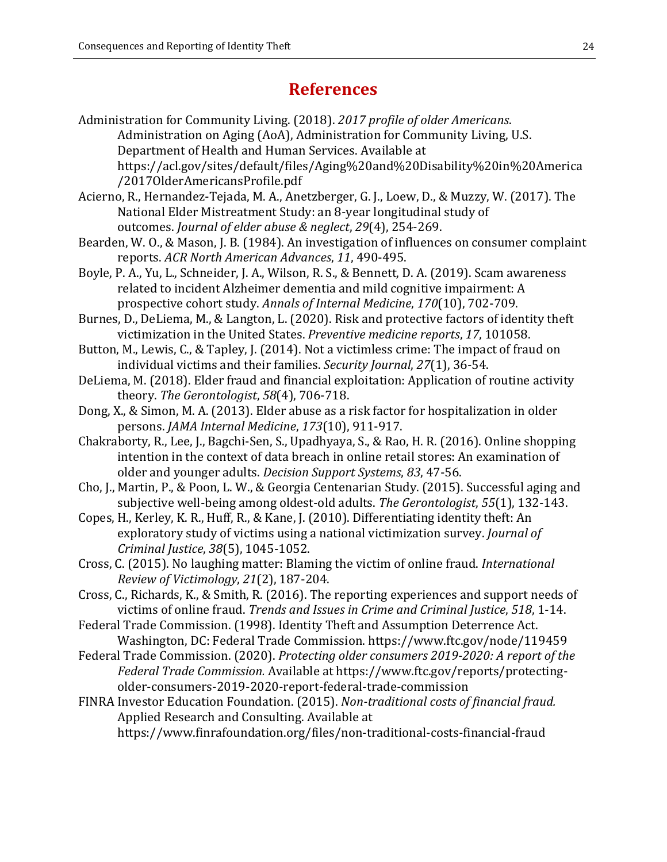# **References**

- Administration for Community Living. (2018). *2017 profile of older Americans*. Administration on Aging (AoA), Administration for Community Living, U.S. Department of Health and Human Services. Available at https://acl.gov/sites/default/files/Aging%20and%20Disability%20in%20America /2017OlderAmericansProfile.pdf
- Acierno, R., Hernandez-Tejada, M. A., Anetzberger, G. J., Loew, D., & Muzzy, W. (2017). The National Elder Mistreatment Study: an 8-year longitudinal study of outcomes. *Journal of elder abuse & neglect*, *29*(4), 254-269.
- Bearden, W. O., & Mason, J. B. (1984). An investigation of influences on consumer complaint reports. *ACR North American Advances*, *11*, 490-495.
- Boyle, P. A., Yu, L., Schneider, J. A., Wilson, R. S., & Bennett, D. A. (2019). Scam awareness related to incident Alzheimer dementia and mild cognitive impairment: A prospective cohort study. *Annals of Internal Medicine*, *170*(10), 702-709.
- Burnes, D., DeLiema, M., & Langton, L. (2020). Risk and protective factors of identity theft victimization in the United States. *Preventive medicine reports*, *17*, 101058.
- Button, M., Lewis, C., & Tapley, J. (2014). Not a victimless crime: The impact of fraud on individual victims and their families. *Security Journal*, *27*(1), 36-54.
- DeLiema, M. (2018). Elder fraud and financial exploitation: Application of routine activity theory. *The Gerontologist*, *58*(4), 706-718.
- Dong, X., & Simon, M. A. (2013). Elder abuse as a risk factor for hospitalization in older persons. *JAMA Internal Medicine*, *173*(10), 911-917.
- Chakraborty, R., Lee, J., Bagchi-Sen, S., Upadhyaya, S., & Rao, H. R. (2016). Online shopping intention in the context of data breach in online retail stores: An examination of older and younger adults. *Decision Support Systems*, *83*, 47-56.
- Cho, J., Martin, P., & Poon, L. W., & Georgia Centenarian Study. (2015). Successful aging and subjective well-being among oldest-old adults. *The Gerontologist*, *55*(1), 132-143.
- Copes, H., Kerley, K. R., Huff, R., & Kane, J. (2010). Differentiating identity theft: An exploratory study of victims using a national victimization survey. *Journal of Criminal Justice*, *38*(5), 1045-1052.
- Cross, C. (2015). No laughing matter: Blaming the victim of online fraud. *International Review of Victimology*, *21*(2), 187-204.
- Cross, C., Richards, K., & Smith, R. (2016). The reporting experiences and support needs of victims of online fraud. *Trends and Issues in Crime and Criminal Justice*, *518*, 1-14.
- Federal Trade Commission. (1998). Identity Theft and Assumption Deterrence Act. Washington, DC: Federal Trade Commission. https://www.ftc.gov/node/119459
- Federal Trade Commission. (2020). *Protecting older consumers 2019-2020: A report of the Federal Trade Commission.* Available at https://www.ftc.gov/reports/protectingolder-consumers-2019-2020-report-federal-trade-commission
- FINRA Investor Education Foundation. (2015). *Non-traditional costs of financial fraud.* Applied Research and Consulting. Available at https://www.finrafoundation.org/files/non-traditional-costs-financial-fraud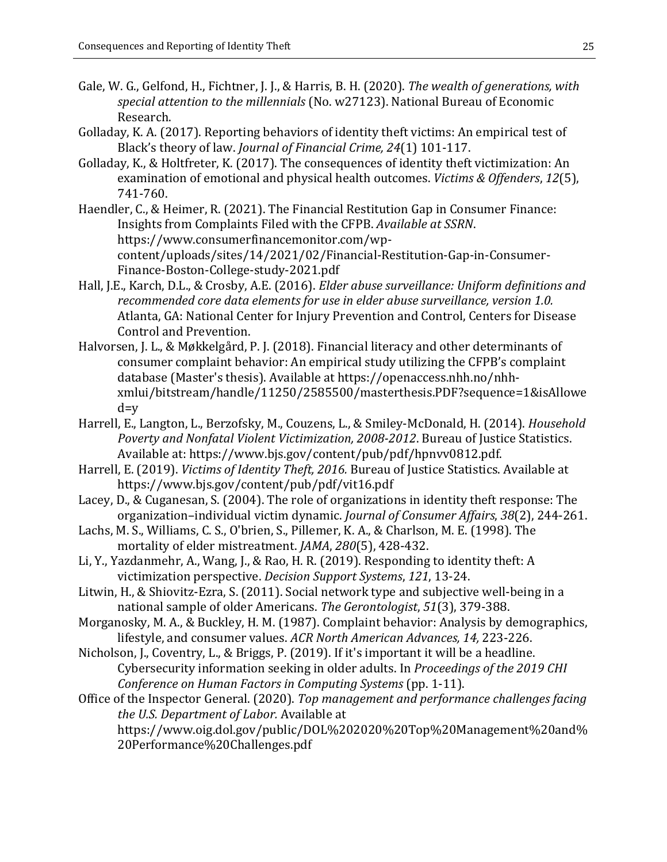- Gale, W. G., Gelfond, H., Fichtner, J. J., & Harris, B. H. (2020). *The wealth of generations, with special attention to the millennials* (No. w27123). National Bureau of Economic Research.
- Golladay, K. A. (2017). Reporting behaviors of identity theft victims: An empirical test of Black's theory of law. *Journal of Financial Crime, 24*(1) 101-117.
- Golladay, K., & Holtfreter, K. (2017). The consequences of identity theft victimization: An examination of emotional and physical health outcomes. *Victims & Offenders*, *12*(5), 741-760.
- Haendler, C., & Heimer, R. (2021). The Financial Restitution Gap in Consumer Finance: Insights from Complaints Filed with the CFPB. *Available at SSRN*. https://www.consumerfinancemonitor.com/wpcontent/uploads/sites/14/2021/02/Financial-Restitution-Gap-in-Consumer-Finance-Boston-College-study-2021.pdf
- Hall, J.E., Karch, D.L., & Crosby, A.E. (2016). *Elder abuse surveillance: Uniform definitions and recommended core data elements for use in elder abuse surveillance, version 1.0.*  Atlanta, GA: National Center for Injury Prevention and Control, Centers for Disease Control and Prevention.
- Halvorsen, J. L., & Møkkelgård, P. J. (2018). Financial literacy and other determinants of consumer complaint behavior: An empirical study utilizing the CFPB's complaint database (Master's thesis). Available at https://openaccess.nhh.no/nhhxmlui/bitstream/handle/11250/2585500/masterthesis.PDF?sequence=1&isAllowe  $d=v$
- Harrell, E., Langton, L., Berzofsky, M., Couzens, L., & Smiley-McDonald, H. (2014). *Household Poverty and Nonfatal Violent Victimization, 2008-2012*. Bureau of Justice Statistics. Available at: https://www.bjs.gov/content/pub/pdf/hpnvv0812.pdf.
- Harrell, E. (2019). *Victims of Identity Theft, 2016.* Bureau of Justice Statistics. Available at https://www.bjs.gov/content/pub/pdf/vit16.pdf
- Lacey, D., & Cuganesan, S. (2004). The role of organizations in identity theft response: The organization–individual victim dynamic. *Journal of Consumer Affairs*, *38*(2), 244-261.
- Lachs, M. S., Williams, C. S., O'brien, S., Pillemer, K. A., & Charlson, M. E. (1998). The mortality of elder mistreatment. *JAMA*, *280*(5), 428-432.
- Li, Y., Yazdanmehr, A., Wang, J., & Rao, H. R. (2019). Responding to identity theft: A victimization perspective. *Decision Support Systems*, *121*, 13-24.
- Litwin, H., & Shiovitz-Ezra, S. (2011). Social network type and subjective well-being in a national sample of older Americans. *The Gerontologist*, *51*(3), 379-388.
- Morganosky, M. A., & Buckley, H. M. (1987). Complaint behavior: Analysis by demographics, lifestyle, and consumer values. *ACR North American Advances, 14,* 223-226.
- Nicholson, J., Coventry, L., & Briggs, P. (2019). If it's important it will be a headline. Cybersecurity information seeking in older adults. In *Proceedings of the 2019 CHI Conference on Human Factors in Computing Systems* (pp. 1-11).
- Office of the Inspector General. (2020). *Top management and performance challenges facing the U.S. Department of Labor.* Available at https://www.oig.dol.gov/public/DOL%202020%20Top%20Management%20and% 20Performance%20Challenges.pdf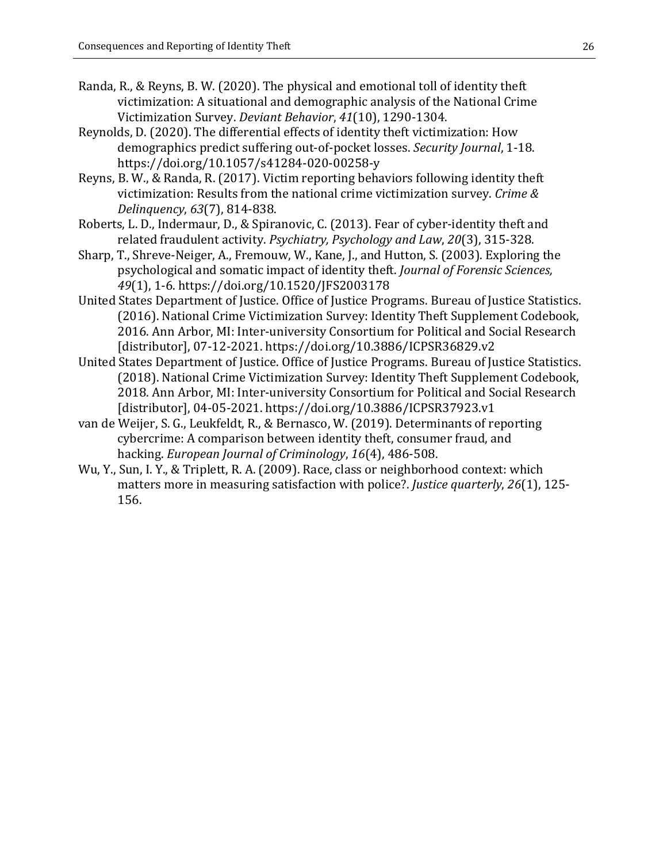- Randa, R., & Reyns, B. W. (2020). The physical and emotional toll of identity theft victimization: A situational and demographic analysis of the National Crime Victimization Survey. *Deviant Behavior*, *41*(10), 1290-1304.
- Reynolds, D. (2020). The differential effects of identity theft victimization: How demographics predict suffering out-of-pocket losses. *Security Journal*, 1-18. https://doi.org/10.1057/s41284-020-00258-y
- Reyns, B. W., & Randa, R. (2017). Victim reporting behaviors following identity theft victimization: Results from the national crime victimization survey. *Crime & Delinquency*, *63*(7), 814-838.
- Roberts, L. D., Indermaur, D., & Spiranovic, C. (2013). Fear of cyber-identity theft and related fraudulent activity. *Psychiatry, Psychology and Law*, *20*(3), 315-328.
- Sharp, T., Shreve-Neiger, A., Fremouw, W., Kane, J., and Hutton, S. (2003). Exploring the psychological and somatic impact of identity theft. *Journal of Forensic Sciences, 49*(1), 1-6. https://doi.org/10.1520/JFS2003178
- United States Department of Justice. Office of Justice Programs. Bureau of Justice Statistics. (2016). National Crime Victimization Survey: Identity Theft Supplement Codebook, 2016. Ann Arbor, MI: Inter-university Consortium for Political and Social Research [distributor], 07-12-2021. https://doi.org/10.3886/ICPSR36829.v2
- United States Department of Justice. Office of Justice Programs. Bureau of Justice Statistics. (2018). National Crime Victimization Survey: Identity Theft Supplement Codebook, 2018. Ann Arbor, MI: Inter-university Consortium for Political and Social Research [distributor], 04-05-2021. https://doi.org/10.3886/ICPSR37923.v1
- van de Weijer, S. G., Leukfeldt, R., & Bernasco, W. (2019). Determinants of reporting cybercrime: A comparison between identity theft, consumer fraud, and hacking. *European Journal of Criminology*, *16*(4), 486-508.
- Wu, Y., Sun, I. Y., & Triplett, R. A. (2009). Race, class or neighborhood context: which matters more in measuring satisfaction with police?. *Justice quarterly*, *26*(1), 125- 156.